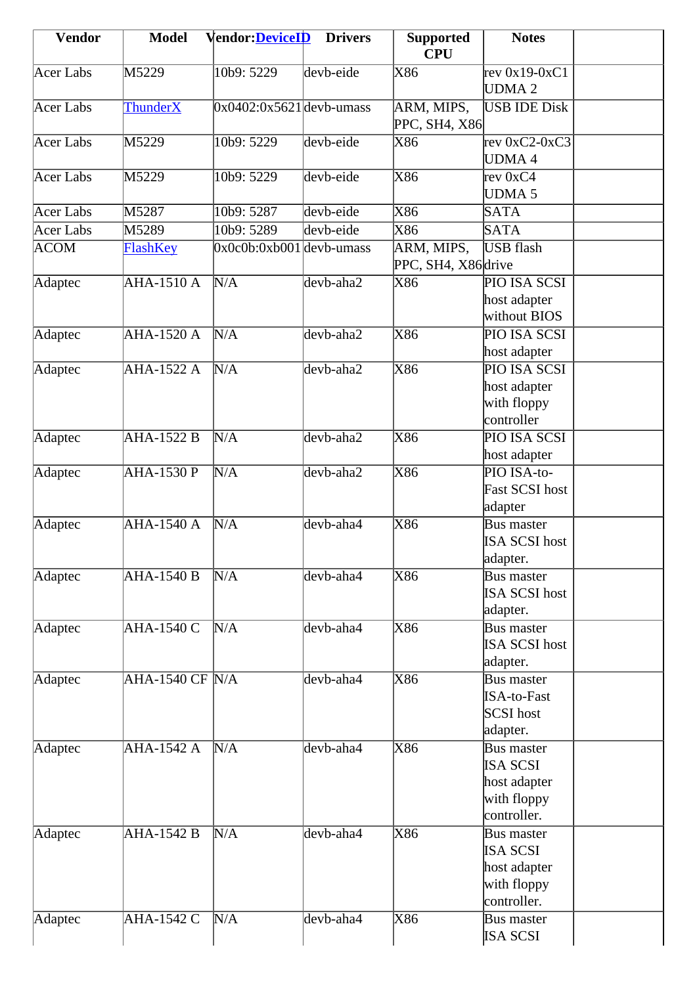| <b>Vendor</b> | <b>Model</b>      | <b>Vendor: DeviceID</b>    | <b>Drivers</b> | <b>Supported</b><br><b>CPU</b>    | <b>Notes</b>                                                                |  |
|---------------|-------------------|----------------------------|----------------|-----------------------------------|-----------------------------------------------------------------------------|--|
| Acer Labs     | M5229             | 10b9: 5229                 | devb-eide      | X86                               | rev $0x19-0xC1$<br>UDMA <sub>2</sub>                                        |  |
| Acer Labs     | <b>ThunderX</b>   | $0x0402:0x5621$ devb-umass |                | ARM, MIPS,<br>PPC, SH4, X86       | <b>USB IDE Disk</b>                                                         |  |
| Acer Labs     | M5229             | 10b9: 5229                 | devb-eide      | X86                               | rev $0xC2-0xC3$<br><b>UDMA4</b>                                             |  |
| Acer Labs     | M5229             | 10b9: 5229                 | devb-eide      | X86                               | rev 0xC4<br><b>UDMA 5</b>                                                   |  |
| Acer Labs     | M5287             | 10b9: 5287                 | devb-eide      | X86                               | <b>SATA</b>                                                                 |  |
| Acer Labs     | M5289             | 10b9: 5289                 | devb-eide      | X86                               | SATA                                                                        |  |
| <b>ACOM</b>   | FlashKey          | $0x0c0b:0xb001$ devb-umass |                | ARM, MIPS,<br>PPC, SH4, X86 drive | USB flash                                                                   |  |
| Adaptec       | <b>AHA-1510 A</b> | $\overline{\text{N/A}}$    | devb-aha2      | X86                               | PIO ISA SCSI<br>host adapter<br>without BIOS                                |  |
| Adaptec       | $AHA-1520A$       | N/A                        | devb-aha2      | $\overline{\text{X86}}$           | PIO ISA SCSI<br>host adapter                                                |  |
| Adaptec       | AHA-1522 A        | N/A                        | devb-aha2      | X86                               | PIO ISA SCSI<br>host adapter<br>with floppy<br>controller                   |  |
| Adaptec       | AHA-1522 B        | N/A                        | devb-aha2      | X86                               | PIO ISA SCSI<br>host adapter                                                |  |
| Adaptec       | AHA-1530 P        | N/A                        | devb-aha2      | X86                               | PIO ISA-to-<br>Fast SCSI host<br>adapter                                    |  |
| Adaptec       | <b>AHA-1540 A</b> | N/A                        | devb-aha4      | $\overline{\text{X86}}$           | Bus master<br>ISA SCSI host<br>adapter.                                     |  |
| Adaptec       | <b>AHA-1540 B</b> | N/A                        | devb-aha4      | $\overline{\text{X86}}$           | <b>Bus master</b><br><b>ISA SCSI host</b><br>adapter.                       |  |
| Adaptec       | <b>AHA-1540 C</b> | N/A                        | devb-aha4      | X86                               | <b>Bus master</b><br>ISA SCSI host<br>adapter.                              |  |
| Adaptec       | $AHA-1540 CF N/A$ |                            | devb-aha4      | $\overline{\text{X86}}$           | <b>Bus master</b><br><b>ISA-to-Fast</b><br>SCSI host<br>adapter.            |  |
| Adaptec       | <b>AHA-1542 A</b> | N/A                        | devb-aha4      | $\overline{\text{X86}}$           | Bus master<br><b>ISA SCSI</b><br>host adapter<br>with floppy<br>controller. |  |
| Adaptec       | <b>AHA-1542 B</b> | N/A                        | devb-aha4      | $\overline{\text{X86}}$           | Bus master<br><b>ISA SCSI</b><br>host adapter<br>with floppy<br>controller. |  |
| Adaptec       | AHA-1542 C        | N/A                        | devb-aha4      | X86                               | Bus master<br>ISA SCSI                                                      |  |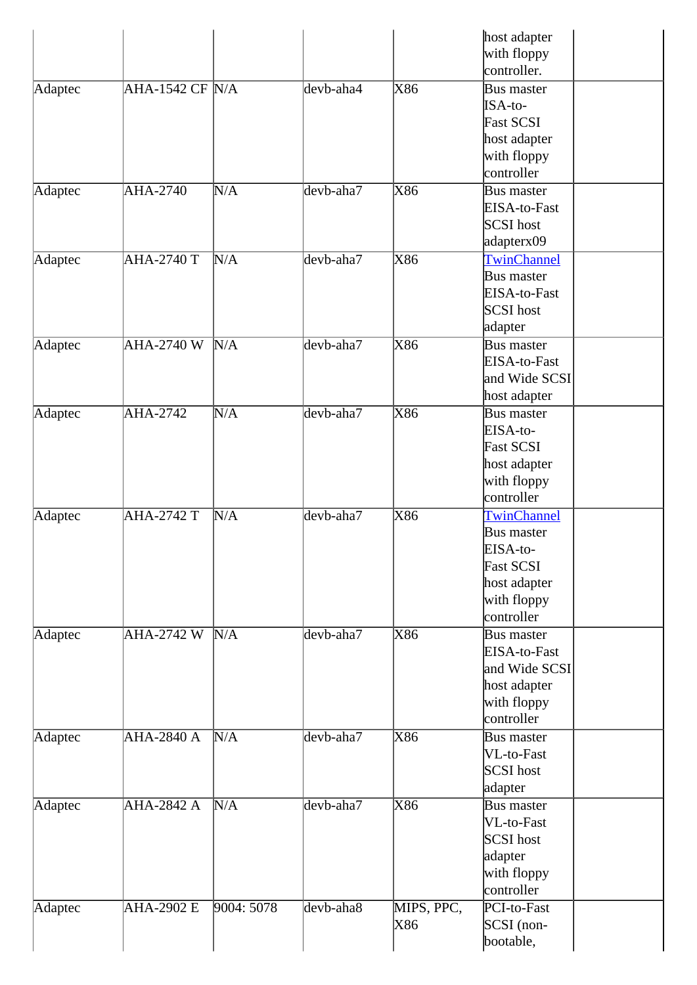|         |                     |            |                                |                         | host adapter<br>with floppy |
|---------|---------------------|------------|--------------------------------|-------------------------|-----------------------------|
|         |                     |            |                                |                         | controller.                 |
| Adaptec | $AHA-1542$ CF $N/A$ |            | $\overline{\text{dev}}$ b-aha4 | X86                     | Bus master                  |
|         |                     |            |                                |                         | ISA-to-                     |
|         |                     |            |                                |                         | <b>Fast SCSI</b>            |
|         |                     |            |                                |                         | host adapter                |
|         |                     |            |                                |                         | with floppy                 |
|         |                     |            |                                |                         | controller                  |
| Adaptec | <b>AHA-2740</b>     | N/A        | devb-aha7                      | X86                     | Bus master                  |
|         |                     |            |                                |                         | EISA-to-Fast                |
|         |                     |            |                                |                         | SCSI host                   |
|         |                     |            |                                |                         | adapterx09                  |
| Adaptec | <b>AHA-2740 T</b>   | N/A        | devb-aha7                      | $\overline{\text{X86}}$ | TwinChannel                 |
|         |                     |            |                                |                         | Bus master                  |
|         |                     |            |                                |                         | EISA-to-Fast                |
|         |                     |            |                                |                         | SCSI host                   |
|         |                     |            |                                |                         | adapter                     |
| Adaptec | $AHA-2740 W N/A$    |            | devb-aha7                      | X86                     | Bus master                  |
|         |                     |            |                                |                         | EISA-to-Fast                |
|         |                     |            |                                |                         | and Wide SCSI               |
|         |                     |            |                                |                         | host adapter                |
| Adaptec | <b>AHA-2742</b>     | N/A        | devb-aha7                      | $\overline{\text{X86}}$ | Bus master                  |
|         |                     |            |                                |                         | EISA-to-                    |
|         |                     |            |                                |                         | <b>Fast SCSI</b>            |
|         |                     |            |                                |                         | host adapter                |
|         |                     |            |                                |                         | with floppy                 |
|         |                     |            |                                |                         | controller                  |
| Adaptec | <b>AHA-2742 T</b>   | N/A        | devb-aha7                      | X86                     | TwinChannel                 |
|         |                     |            |                                |                         | Bus master                  |
|         |                     |            |                                |                         | EISA-to-                    |
|         |                     |            |                                |                         | <b>Fast SCSI</b>            |
|         |                     |            |                                |                         | host adapter                |
|         |                     |            |                                |                         | with floppy                 |
|         |                     |            |                                |                         | controller                  |
| Adaptec | AHA-2742 W          | N/A        | devb-aha7                      | X86                     | Bus master                  |
|         |                     |            |                                |                         | EISA-to-Fast                |
|         |                     |            |                                |                         | and Wide SCSI               |
|         |                     |            |                                |                         | host adapter                |
|         |                     |            |                                |                         | with floppy                 |
|         |                     |            |                                |                         | controller                  |
| Adaptec | <b>AHA-2840 A</b>   | N/A        | devb-aha7                      | $\overline{\text{X86}}$ | Bus master                  |
|         |                     |            |                                |                         | VL-to-Fast                  |
|         |                     |            |                                |                         | SCSI host                   |
|         |                     |            |                                |                         | adapter                     |
| Adaptec | AHA-2842 A          | N/A        | devb-aha7                      | $\overline{\text{X86}}$ | Bus master                  |
|         |                     |            |                                |                         | VL-to-Fast                  |
|         |                     |            |                                |                         | SCSI host                   |
|         |                     |            |                                |                         | adapter                     |
|         |                     |            |                                |                         | with floppy                 |
|         |                     |            |                                |                         | controller                  |
| Adaptec | AHA-2902 E          | 9004: 5078 | devb-aha8                      | MIPS, PPC,              | PCI-to-Fast                 |
|         |                     |            |                                | X86                     | SCSI (non-                  |
|         |                     |            |                                |                         | bootable,                   |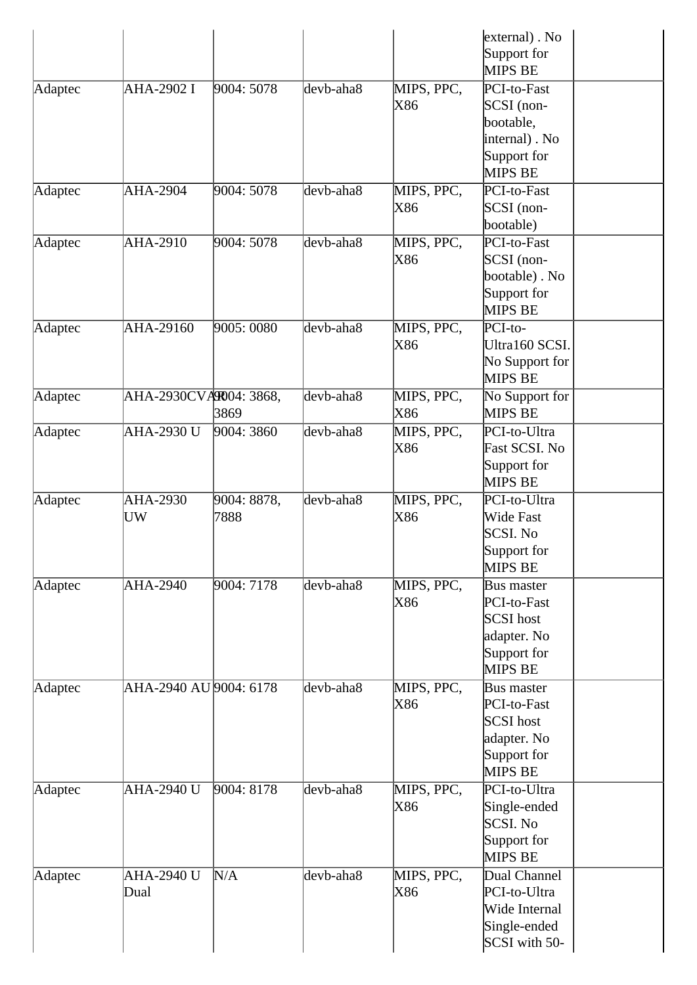|         |                           |                     |           |                   | $external)$ . No<br>Support for<br>MIPS BE                                             |
|---------|---------------------------|---------------------|-----------|-------------------|----------------------------------------------------------------------------------------|
| Adaptec | AHA-2902 I                | 9004: 5078          | devb-aha8 | MIPS, PPC,<br>X86 | PCI-to-Fast<br>$SCSI$ (non-<br>bootable,<br>internal). No<br>Support for<br>MIPS BE    |
| Adaptec | AHA-2904                  | 9004: 5078          | devb-aha8 | MIPS, PPC,<br>X86 | PCI-to-Fast<br>$SCSI$ (non-<br>bootable)                                               |
| Adaptec | AHA-2910                  | 9004: 5078          | devb-aha8 | MIPS, PPC,<br>X86 | PCI-to-Fast<br>$SCSI$ (non-<br>bootable). No<br>Support for<br>MIPS BE                 |
| Adaptec | AHA-29160                 | 9005:0080           | devb-aha8 | MIPS, PPC,<br>X86 | $PCI-to-$<br>Ultra160 SCSI.<br>No Support for<br>MIPS BE                               |
| Adaptec | AHA-2930CVAR004: 3868,    | 3869                | devb-aha8 | MIPS, PPC,<br>X86 | No Support for<br>MIPS BE                                                              |
| Adaptec | <b>AHA-2930 U</b>         | 9004: 3860          | devb-aha8 | MIPS, PPC,<br>X86 | PCI-to-Ultra<br>Fast SCSI. No<br>Support for<br>MIPS BE                                |
| Adaptec | AHA-2930<br>UW            | 9004: 8878,<br>7888 | devb-aha8 | MIPS, PPC,<br>X86 | PCI-to-Ultra<br>Wide Fast<br><b>SCSI. No</b><br>Support for<br>MIPS BE                 |
| Adaptec | <b>AHA-2940</b>           | 9004: 7178          | devb-aha8 | MIPS, PPC,<br>X86 | Bus master<br>PCI-to-Fast<br>SCSI host<br>adapter. No<br>Support for<br>MIPS BE        |
| Adaptec | AHA-2940 AU 9004: 6178    |                     | devb-aha8 | MIPS, PPC,<br>X86 | <b>Bus master</b><br>PCI-to-Fast<br>SCSI host<br>adapter. No<br>Support for<br>MIPS BE |
| Adaptec | AHA-2940 U                | 9004: 8178          | devb-aha8 | MIPS, PPC,<br>X86 | PCI-to-Ultra<br>Single-ended<br>SCSI. No<br>Support for<br>MIPS BE                     |
| Adaptec | <b>AHA-2940 U</b><br>Dual | N/A                 | devb-aha8 | MIPS, PPC,<br>X86 | Dual Channel<br>PCI-to-Ultra<br>Wide Internal<br>Single-ended<br>SCSI with 50-         |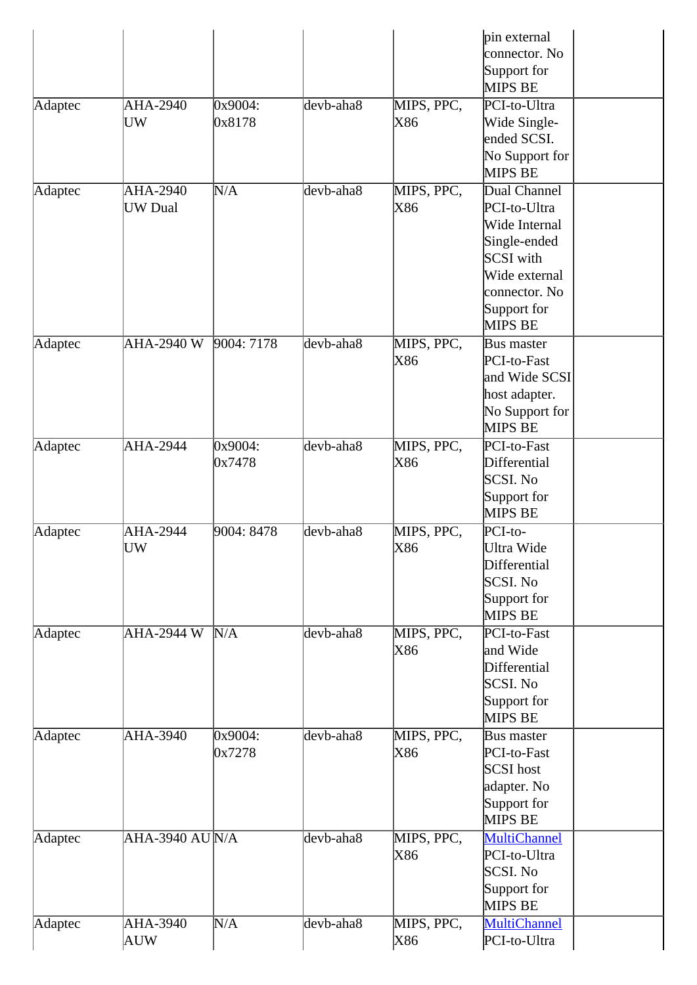|         |                                |                   |                 |                   | pin external<br>connector. No<br>Support for<br><b>MIPS BE</b>                                                                         |
|---------|--------------------------------|-------------------|-----------------|-------------------|----------------------------------------------------------------------------------------------------------------------------------------|
| Adaptec | AHA-2940<br>UW                 | 0x9004:<br>0x8178 | $devb$ -aha $8$ | MIPS, PPC,<br>X86 | PCI-to-Ultra<br>Wide Single-<br>ended SCSI.<br>No Support for<br><b>MIPS BE</b>                                                        |
| Adaptec | AHA-2940<br><b>UW</b> Dual     | N/A               | devb-aha8       | MIPS, PPC,<br>X86 | Dual Channel<br>PCI-to-Ultra<br>Wide Internal<br>Single-ended<br>SCSI with<br>Wide external<br>connector. No<br>Support for<br>MIPS BE |
| Adaptec | <b>AHA-2940 W</b>              | 9004: 7178        | devb-aha8       | MIPS, PPC,<br>X86 | Bus master<br>PCI-to-Fast<br>and Wide SCSI<br>host adapter.<br>No Support for<br><b>MIPS BE</b>                                        |
| Adaptec | AHA-2944                       | 0x9004:<br>0x7478 | devb-aha8       | MIPS, PPC,<br>X86 | PCI-to-Fast<br>Differential<br>SCSI. No<br>Support for<br><b>MIPS BE</b>                                                               |
| Adaptec | <b>AHA-2944</b><br>UW          | 9004: 8478        | devb-aha8       | MIPS, PPC,<br>X86 | PCI-to-<br>Ultra Wide<br>Differential<br>SCSI. No<br>Support for<br><b>MIPS BE</b>                                                     |
| Adaptec | AHA-2944 W                     | N/A               | devb-aha8       | MIPS, PPC,<br>X86 | PCI-to-Fast<br>and Wide<br>Differential<br>SCSI. No<br>Support for<br>MIPS BE                                                          |
| Adaptec | AHA-3940                       | 0x9004:<br>0x7278 | devb-aha8       | MIPS, PPC,<br>X86 | <b>Bus master</b><br>PCI-to-Fast<br>SCSI host<br>adapter. No<br>Support for<br><b>MIPS BE</b>                                          |
| Adaptec | $AHA-3940 \, \text{AU} \, N/A$ |                   | devb-aha8       | MIPS, PPC,<br>X86 | <b>MultiChannel</b><br>PCI-to-Ultra<br>SCSI. No<br>Support for<br><b>MIPS BE</b>                                                       |
| Adaptec | AHA-3940<br>AUW                | N/A               | devb-aha8       | MIPS, PPC,<br>X86 | <b>MultiChannel</b><br>PCI-to-Ultra                                                                                                    |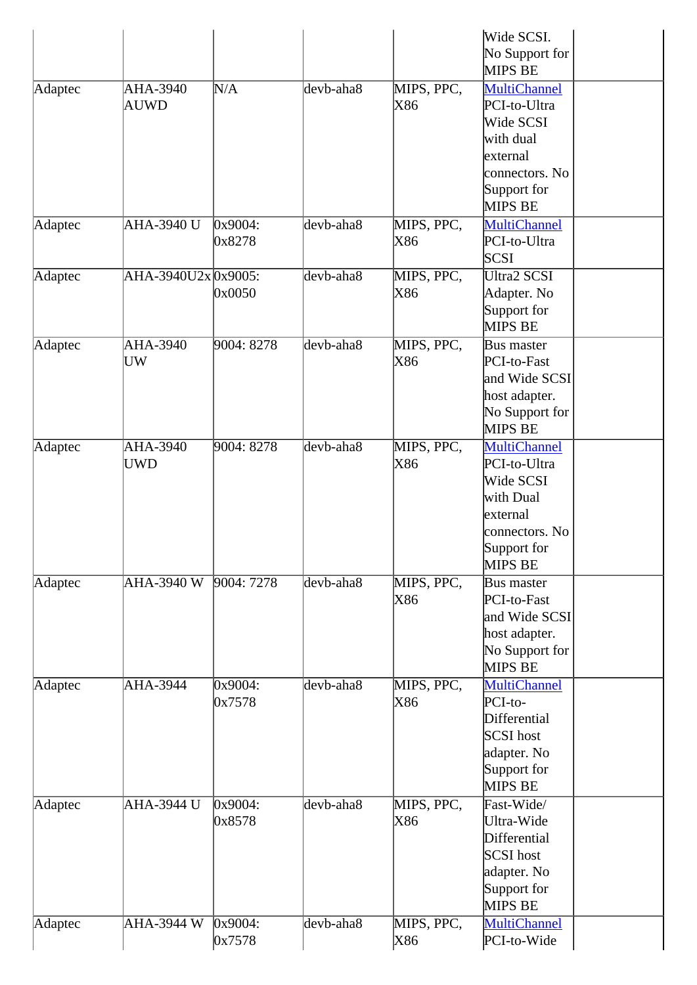|         |                         |                   |                 |                   | Wide SCSI.<br>No Support for<br>MIPS BE                                                                                      |
|---------|-------------------------|-------------------|-----------------|-------------------|------------------------------------------------------------------------------------------------------------------------------|
| Adaptec | AHA-3940<br><b>AUWD</b> | N/A               | devb-aha8       | MIPS, PPC,<br>X86 | <b>MultiChannel</b><br>PCI-to-Ultra<br>Wide SCSI<br>with dual<br>external<br>connectors. No<br>Support for<br><b>MIPS BE</b> |
| Adaptec | AHA-3940 U              | 0x9004:<br>0x8278 | devb-aha8       | MIPS, PPC,<br>X86 | <b>MultiChannel</b><br>PCI-to-Ultra<br><b>SCSI</b>                                                                           |
| Adaptec | AHA-3940U2x 0x9005:     | 0x0050            | $devb$ -aha $8$ | MIPS, PPC,<br>X86 | <b>Ultra2 SCSI</b><br>Adapter. No<br>Support for<br><b>MIPS BE</b>                                                           |
| Adaptec | AHA-3940<br>UW          | 9004: 8278        | devb-aha8       | MIPS, PPC,<br>X86 | Bus master<br>PCI-to-Fast<br>and Wide SCSI<br>host adapter.<br>No Support for<br><b>MIPS BE</b>                              |
| Adaptec | AHA-3940<br><b>UWD</b>  | 9004: 8278        | devb-aha8       | MIPS, PPC,<br>X86 | <b>MultiChannel</b><br>PCI-to-Ultra<br>Wide SCSI<br>with Dual<br>external<br>connectors. No<br>Support for<br><b>MIPS BE</b> |
| Adaptec | AHA-3940 W              | 9004: 7278        | devb-aha8       | MIPS, PPC,<br>X86 | Bus master<br>PCI-to-Fast<br>and Wide SCSI<br>host adapter.<br>No Support for<br><b>MIPS BE</b>                              |
| Adaptec | AHA-3944                | 0x9004:<br>0x7578 | devb-aha8       | MIPS, PPC,<br>X86 | <b>MultiChannel</b><br>PCI-to-<br>Differential<br>SCSI host<br>adapter. No<br>Support for<br><b>MIPS BE</b>                  |
| Adaptec | AHA-3944 U              | 0x9004:<br>0x8578 | devb-aha8       | MIPS, PPC,<br>X86 | Fast-Wide/<br>Ultra-Wide<br>Differential<br>SCSI host<br>adapter. No<br>Support for<br><b>MIPS BE</b>                        |
| Adaptec | <b>AHA-3944 W</b>       | 0x9004:<br>0x7578 | devb-aha8       | MIPS, PPC,<br>X86 | <b>MultiChannel</b><br>PCI-to-Wide                                                                                           |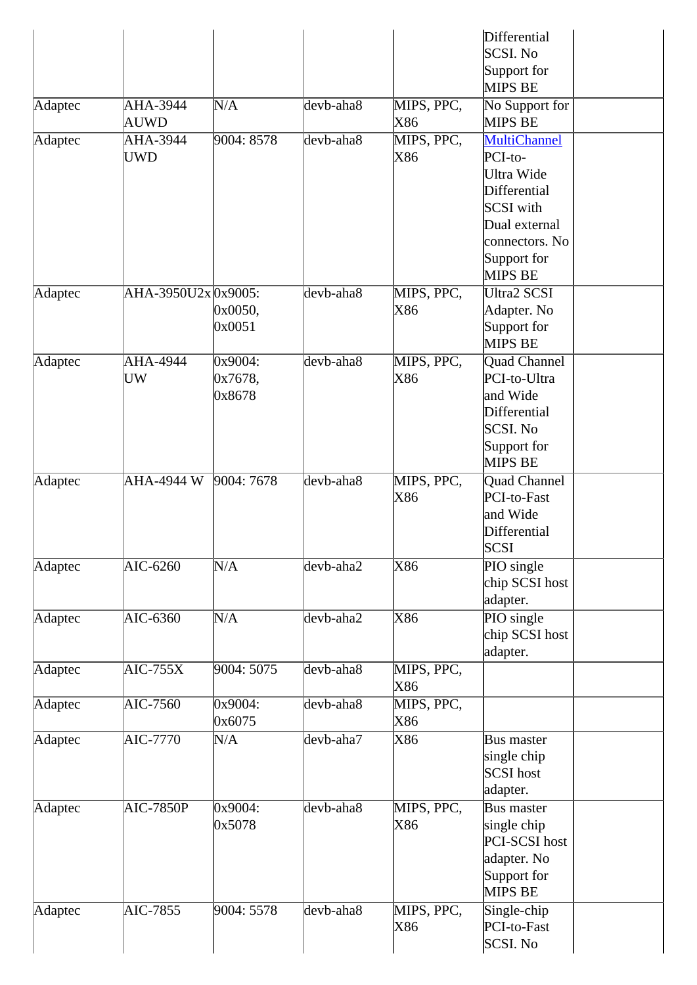|         |                     |                              |           |                   | Differential<br>SCSI. No<br>Support for<br>MIPS BE                                                                                     |
|---------|---------------------|------------------------------|-----------|-------------------|----------------------------------------------------------------------------------------------------------------------------------------|
| Adaptec | AHA-3944<br>AUWD    | N/A                          | devb-aha8 | MIPS, PPC,<br>X86 | No Support for<br>MIPS BE                                                                                                              |
| Adaptec | AHA-3944<br>UWD     | 9004: 8578                   | devb-aha8 | MIPS, PPC,<br>X86 | <b>MultiChannel</b><br>PCI-to-<br>Ultra Wide<br>Differential<br>SCSI with<br>Dual external<br>connectors. No<br>Support for<br>MIPS BE |
| Adaptec | AHA-3950U2x 0x9005: | 0x0050,<br>0x0051            | devb-aha8 | MIPS, PPC,<br>X86 | <b>Ultra2 SCSI</b><br>Adapter. No<br>Support for<br>MIPS BE                                                                            |
| Adaptec | AHA-4944<br>UW      | 0x9004:<br>0x7678,<br>0x8678 | devb-aha8 | MIPS, PPC,<br>X86 | <b>Quad Channel</b><br>PCI-to-Ultra<br>and Wide<br>Differential<br>SCSI. No<br>Support for<br>MIPS BE                                  |
| Adaptec | AHA-4944 W          | 9004: 7678                   | devb-aha8 | MIPS, PPC,<br>X86 | Quad Channel<br>PCI-to-Fast<br>and Wide<br>Differential<br><b>SCSI</b>                                                                 |
| Adaptec | AIC-6260            | N/A                          | devb-aha2 | X86               | PIO single<br>chip SCSI host<br>adapter.                                                                                               |
| Adaptec | AIC-6360            | N/A                          | devb-aha2 | X86               | PIO single<br>chip SCSI host<br>adapter.                                                                                               |
| Adaptec | $AIC-755X$          | 9004: 5075                   | devb-aha8 | MIPS, PPC,<br>X86 |                                                                                                                                        |
| Adaptec | $AIC-7560$          | 0x9004:<br>0x6075            | devb-aha8 | MIPS, PPC,<br>X86 |                                                                                                                                        |
| Adaptec | <b>AIC-7770</b>     | N/A                          | devb-aha7 | X86               | Bus master<br>single chip<br>SCSI host<br>adapter.                                                                                     |
| Adaptec | <b>AIC-7850P</b>    | 0x9004:<br>0x5078            | devb-aha8 | MIPS, PPC,<br>X86 | <b>Bus master</b><br>single chip<br>PCI-SCSI host<br>adapter. No<br>Support for<br>MIPS BE                                             |
| Adaptec | AIC-7855            | 9004: 5578                   | devb-aha8 | MIPS, PPC,<br>X86 | Single-chip<br>PCI-to-Fast<br>SCSI. No                                                                                                 |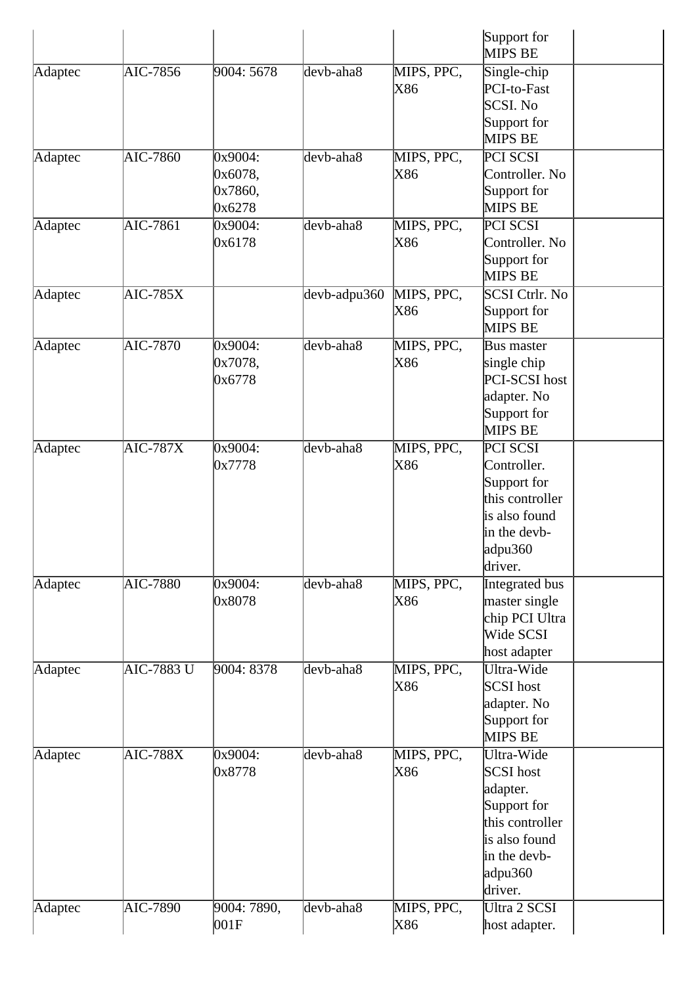|         |                   |                                         |                 |                   | Support for<br><b>MIPS BE</b>                                                                                                |
|---------|-------------------|-----------------------------------------|-----------------|-------------------|------------------------------------------------------------------------------------------------------------------------------|
| Adaptec | AIC-7856          | 9004: 5678                              | devb-aha8       | MIPS, PPC,<br>X86 | Single-chip<br>PCI-to-Fast<br>SCSI. No<br>Support for<br><b>MIPS BE</b>                                                      |
| Adaptec | AIC-7860          | 0x9004:<br>0x6078,<br>0x7860,<br>0x6278 | devb-aha8       | MIPS, PPC,<br>X86 | PCI SCSI<br>Controller. No<br>Support for<br><b>MIPS BE</b>                                                                  |
| Adaptec | AIC-7861          | 0x9004:<br>0x6178                       | devb-aha8       | MIPS, PPC,<br>X86 | PCI SCSI<br>Controller. No<br>Support for<br><b>MIPS BE</b>                                                                  |
| Adaptec | <b>AIC-785X</b>   |                                         | $devb$ -adpu360 | MIPS, PPC,<br>X86 | SCSI Ctrlr. No<br>Support for<br>MIPS BE                                                                                     |
| Adaptec | <b>AIC-7870</b>   | 0x9004:<br>0x7078,<br>0x6778            | devb-aha8       | MIPS, PPC,<br>X86 | Bus master<br>single chip<br>PCI-SCSI host<br>adapter. No<br>Support for<br><b>MIPS BE</b>                                   |
| Adaptec | <b>AIC-787X</b>   | 0x9004:<br>0x7778                       | devb-aha8       | MIPS, PPC,<br>X86 | PCI SCSI<br>Controller.<br>Support for<br>this controller<br>is also found<br>in the devb-<br>adpu360<br>driver.             |
| Adaptec | <b>AIC-7880</b>   | 0x9004:<br>0x8078                       | devb-aha8       | MIPS, PPC,<br>X86 | Integrated bus<br>master single<br>chip PCI Ultra<br>Wide SCSI<br>host adapter                                               |
| Adaptec | <b>AIC-7883 U</b> | 9004: 8378                              | devb-aha8       | MIPS, PPC,<br>X86 | Ultra-Wide<br>SCSI host<br>adapter. No<br>Support for<br><b>MIPS BE</b>                                                      |
| Adaptec | $AIC-788X$        | 0x9004:<br>0x8778                       | devb-aha8       | MIPS, PPC,<br>X86 | Ultra-Wide<br>SCSI host<br>adapter.<br>Support for<br>this controller<br>is also found<br>in the devb-<br>adpu360<br>driver. |
| Adaptec | AIC-7890          | 9004: 7890,<br> 001F                    | devb-aha8       | MIPS, PPC,<br>X86 | Ultra 2 SCSI<br>host adapter.                                                                                                |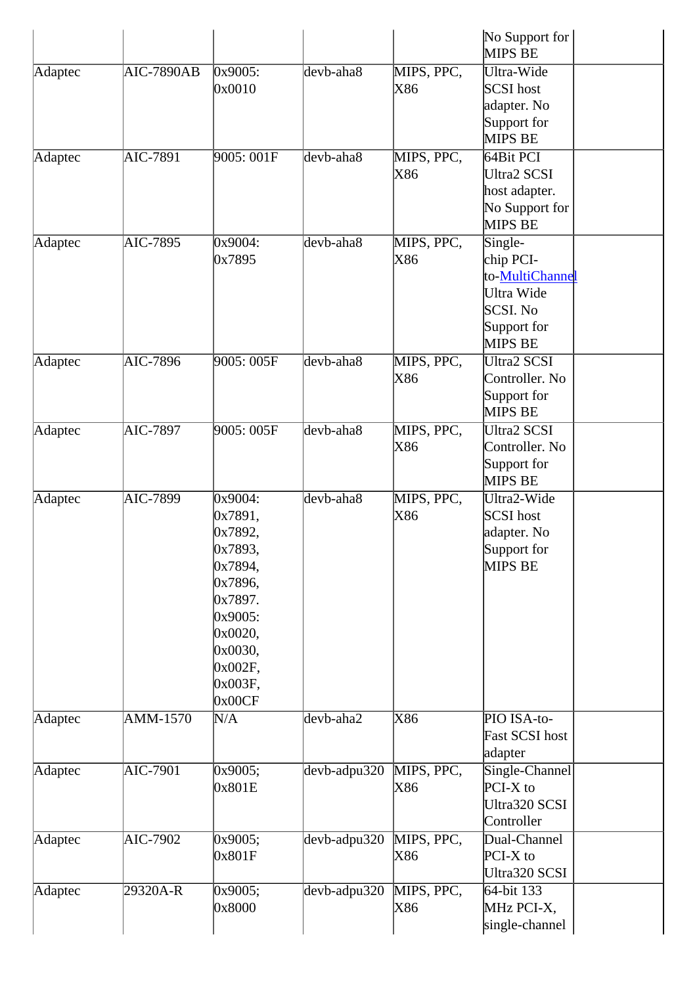|         |                   |                                                                                                                                                   |              |                   | No Support for<br>MIPS BE                                                                   |
|---------|-------------------|---------------------------------------------------------------------------------------------------------------------------------------------------|--------------|-------------------|---------------------------------------------------------------------------------------------|
| Adaptec | <b>AIC-7890AB</b> | 0x9005:<br>0x0010                                                                                                                                 | devb-aha8    | MIPS, PPC,<br>X86 | Ultra-Wide<br>SCSI host<br>adapter. No<br>Support for<br><b>MIPS BE</b>                     |
| Adaptec | AIC-7891          | 9005: 001F                                                                                                                                        | devb-aha8    | MIPS, PPC,<br>X86 | 64Bit PCI<br><b>Ultra2 SCSI</b><br>host adapter.<br>No Support for<br>MIPS BE               |
| Adaptec | AIC-7895          | 0x9004:<br>0x7895                                                                                                                                 | devb-aha8    | MIPS, PPC,<br>X86 | Single-<br>chip PCI-<br>to-MultiChannel<br>Ultra Wide<br>SCSI. No<br>Support for<br>MIPS BE |
| Adaptec | AIC-7896          | 9005: 005F                                                                                                                                        | devb-aha8    | MIPS, PPC,<br>X86 | <b>Ultra2 SCSI</b><br>Controller. No<br>Support for<br><b>MIPS BE</b>                       |
| Adaptec | AIC-7897          | 9005: 005F                                                                                                                                        | devb-aha8    | MIPS, PPC,<br>X86 | <b>Ultra2 SCSI</b><br>Controller. No<br>Support for<br><b>MIPS BE</b>                       |
| Adaptec | AIC-7899          | 0x9004:<br>0x7891,<br>0x7892,<br>$\alpha$ 7893,<br>0x7894,<br>0x7896,<br>0x7897.<br>0x9005:<br>0x0020,<br>0x0030,<br>0x002F,<br>0x003F,<br>0x00CF | devb-aha8    | MIPS, PPC,<br>X86 | Ultra2-Wide<br>SCSI host<br>adapter. No<br>Support for<br>MIPS BE                           |
| Adaptec | <b>AMM-1570</b>   | N/A                                                                                                                                               | devb-aha2    | X86               | PIO ISA-to-<br>Fast SCSI host<br>adapter                                                    |
| Adaptec | AIC-7901          | 0x9005;<br>0x801E                                                                                                                                 | devb-adpu320 | MIPS, PPC,<br>X86 | Single-Channel<br>$PCI-X$ to<br>Ultra320 SCSI<br>Controller                                 |
| Adaptec | AIC-7902          | 0x9005;<br>0x801F                                                                                                                                 | devb-adpu320 | MIPS, PPC,<br>X86 | Dual-Channel<br>$PCI-X$ to<br>Ultra320 SCSI                                                 |
| Adaptec | 29320A-R          | 0x9005;<br>0x8000                                                                                                                                 | devb-adpu320 | MIPS, PPC,<br>X86 | 64-bit 133<br>MHz PCI-X,<br>single-channel                                                  |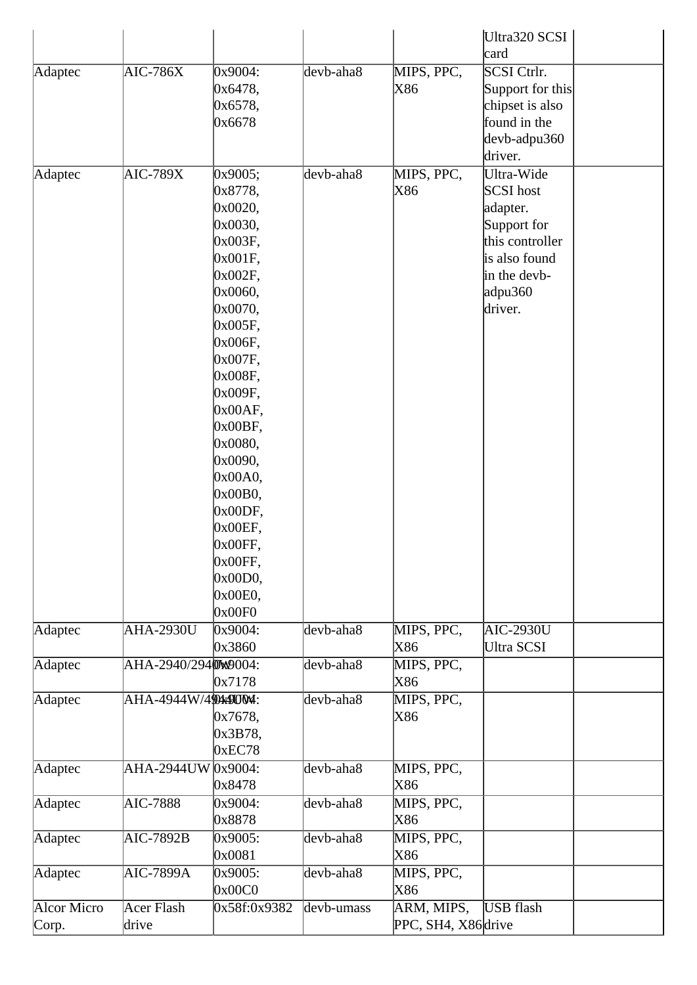|             |                             |                    |            |                     | Ultra320 SCSI                  |
|-------------|-----------------------------|--------------------|------------|---------------------|--------------------------------|
|             |                             |                    |            |                     | card                           |
| Adaptec     | $AIC-786X$                  | 0x9004:            | devb-aha8  | MIPS, PPC,          | SCSI Ctrlr.                    |
|             |                             | 0x6478,            |            | X86                 | Support for this               |
|             |                             | 0x6578,            |            |                     | chipset is also                |
|             |                             | 0x6678             |            |                     | found in the                   |
|             |                             |                    |            |                     | devb-adpu360                   |
|             |                             |                    |            |                     | driver.                        |
| Adaptec     | $AIC-789X$                  | 0x9005;            | devb-aha8  | MIPS, PPC,          | Ultra-Wide                     |
|             |                             | 0x8778,            |            | X86                 | SCSI host                      |
|             |                             | 0x0020,            |            |                     | adapter.                       |
|             |                             | 0x0030,            |            |                     | Support for<br>this controller |
|             |                             | 0x003F,            |            |                     | is also found                  |
|             |                             | 0x001F,<br>0x002F, |            |                     | in the devb-                   |
|             |                             | 0x0060,            |            |                     | adpu360                        |
|             |                             | 0x0070,            |            |                     | driver.                        |
|             |                             | 0x005F,            |            |                     |                                |
|             |                             | 0x006F,            |            |                     |                                |
|             |                             | 0x007F,            |            |                     |                                |
|             |                             | 0x008F,            |            |                     |                                |
|             |                             | 0x009F,            |            |                     |                                |
|             |                             | $0x00AF$ ,         |            |                     |                                |
|             |                             | 0x00BF,            |            |                     |                                |
|             |                             | 0x0080,            |            |                     |                                |
|             |                             | 0x0090,            |            |                     |                                |
|             |                             | 0x00A0,            |            |                     |                                |
|             |                             | 0x00B0,            |            |                     |                                |
|             |                             | 0x00DF,            |            |                     |                                |
|             |                             | 0x00EF,            |            |                     |                                |
|             |                             | 0x00FF,            |            |                     |                                |
|             |                             | 0x00FF,            |            |                     |                                |
|             |                             | 0x00D0,            |            |                     |                                |
|             |                             | 0x00E0,            |            |                     |                                |
|             |                             | 0x00F0             |            |                     |                                |
| Adaptec     | <b>AHA-2930U</b>            | 0x9004:            | devb-aha8  | MIPS, PPC,          | <b>AIC-2930U</b>               |
|             |                             | 0x3860             |            | X86                 | Ultra SCSI                     |
| Adaptec     | AHA-2940/2940W9004:         |                    | devb-aha8  | MIPS, PPC,          |                                |
|             |                             | 0x7178             |            | X86                 |                                |
| Adaptec     | AHA-4944W/4 <b>00x900M:</b> |                    | devb-aha8  | MIPS, PPC,          |                                |
|             |                             | 0x7678,            |            | X86                 |                                |
|             |                             | 0x3B78,            |            |                     |                                |
|             |                             | 0xEC78             |            |                     |                                |
| Adaptec     | AHA-2944UW 0x9004:          |                    | devb-aha8  | MIPS, PPC,          |                                |
|             |                             | 0x8478             |            | X86                 |                                |
| Adaptec     | <b>AIC-7888</b>             | 0x9004:            | devb-aha8  | MIPS, PPC,          |                                |
|             |                             | 0x8878             |            | X86                 |                                |
| Adaptec     | $AIC-7892B$                 | 0x9005:            | devb-aha8  | MIPS, PPC,          |                                |
|             |                             | 0x0081             |            | X86                 |                                |
| Adaptec     | AIC-7899A                   | 0x9005:            | devb-aha8  | MIPS, PPC,          |                                |
|             |                             | 0x00C0             |            | X86                 |                                |
| Alcor Micro | Acer Flash                  | 0x58f:0x9382       | devb-umass | ARM, MIPS,          | <b>USB</b> flash               |
| Corp.       | drive                       |                    |            | PPC, SH4, X86 drive |                                |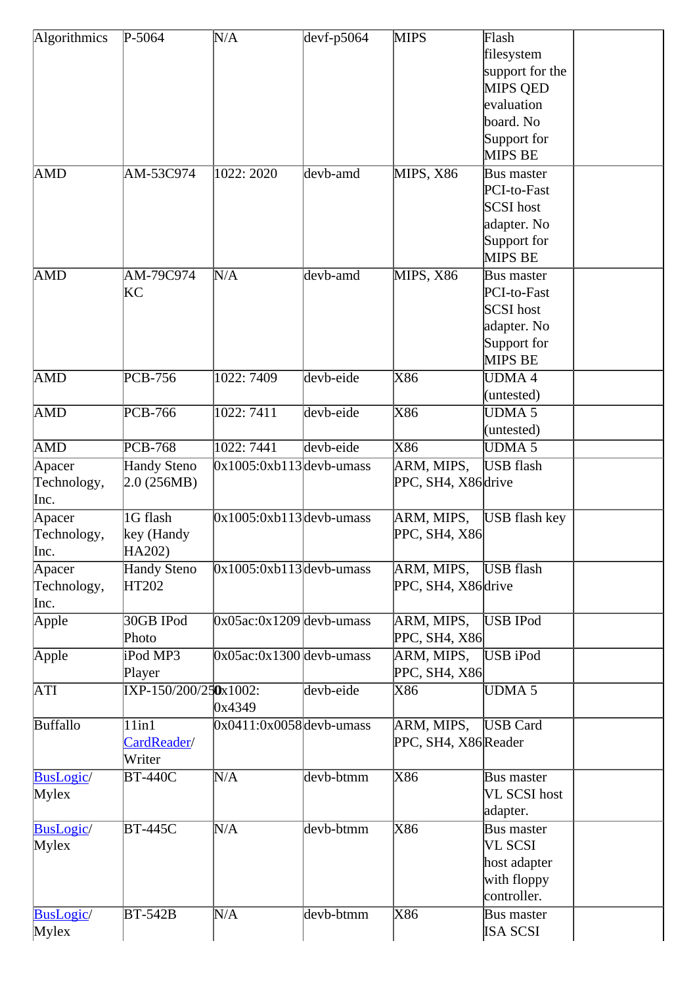| Algorithmics | $P-5064$              | N/A                        | $devf-p5064$ | <b>MIPS</b>             | Flash                         |  |
|--------------|-----------------------|----------------------------|--------------|-------------------------|-------------------------------|--|
|              |                       |                            |              |                         | filesystem                    |  |
|              |                       |                            |              |                         | support for the               |  |
|              |                       |                            |              |                         | <b>MIPS QED</b>               |  |
|              |                       |                            |              |                         | evaluation                    |  |
|              |                       |                            |              |                         | board. No                     |  |
|              |                       |                            |              |                         | Support for                   |  |
|              |                       |                            |              |                         | <b>MIPS BE</b>                |  |
| <b>AMD</b>   | AM-53C974             | 1022: 2020                 | devb-amd     | MIPS, X86               | Bus master                    |  |
|              |                       |                            |              |                         | PCI-to-Fast                   |  |
|              |                       |                            |              |                         | <b>SCSI</b> host              |  |
|              |                       |                            |              |                         | adapter. No                   |  |
|              |                       |                            |              |                         | Support for<br><b>MIPS BE</b> |  |
| <b>AMD</b>   | AM-79C974             | N/A                        | devb-amd     | MIPS, X86               | <b>Bus master</b>             |  |
|              | KC                    |                            |              |                         | PCI-to-Fast                   |  |
|              |                       |                            |              |                         | SCSI host                     |  |
|              |                       |                            |              |                         | adapter. No                   |  |
|              |                       |                            |              |                         | Support for                   |  |
|              |                       |                            |              |                         | <b>MIPS BE</b>                |  |
| <b>AMD</b>   | PCB-756               | 1022: 7409                 | devb-eide    | X86                     | <b>UDMA4</b>                  |  |
|              |                       |                            |              |                         | (untested)                    |  |
| <b>AMD</b>   | PCB-766               | 1022:7411                  | devb-eide    | X86                     | UDMA <sub>5</sub>             |  |
|              |                       |                            |              |                         | (untested)                    |  |
| <b>AMD</b>   | <b>PCB-768</b>        | 1022: 7441                 | devb-eide    | X86                     | UDMA <sub>5</sub>             |  |
| Apacer       | <b>Handy Steno</b>    | $0x1005:0xb113$ devb-umass |              | ARM, MIPS,              | <b>USB</b> flash              |  |
| Technology,  | 2.0(256MB)            |                            |              | PPC, SH4, X86 drive     |                               |  |
| Inc.         |                       |                            |              |                         |                               |  |
| Apacer       | 1G flash              | $0x1005:0xb113$ devb-umass |              | ARM, MIPS,              | <b>USB</b> flash key          |  |
| Technology,  | key (Handy            |                            |              | PPC, SH4, X86           |                               |  |
| Inc.         | HA202)                |                            |              |                         |                               |  |
| Apacer       | <b>Handy Steno</b>    | $0x1005:0xb113$ devb-umass |              | ARM, MIPS,              | USB flash                     |  |
| Technology,  | HT202                 |                            |              | PPC, SH4, X86 drive     |                               |  |
| Inc.         |                       |                            |              |                         |                               |  |
| Apple        | 30GB IPod             | $0x05ac:0x1209$ devb-umass |              | ARM, MIPS,              | USB IPod                      |  |
|              | Photo                 |                            |              | PPC, SH4, X86           |                               |  |
| Apple        | iPod MP3              | $0x05ac:0x1300$ devb-umass |              | ARM, MIPS,              | USB iPod                      |  |
|              | Player                |                            |              | PPC, SH4, X86           |                               |  |
| <b>ATI</b>   | IXP-150/200/250x1002: |                            | devb-eide    | X86                     | <b>UDMA 5</b>                 |  |
|              |                       | 0x4349                     |              |                         |                               |  |
| Buffallo     | $11$ in $1$           | $0x0411:0x0058$ devb-umass |              | ARM, MIPS,              | <b>USB</b> Card               |  |
|              | CardReader/           |                            |              | PPC, SH4, X86 Reader    |                               |  |
|              | Writer                |                            |              |                         |                               |  |
| BusLogic/    | <b>BT-440C</b>        | N/A                        | devb-btmm    | X86                     | Bus master                    |  |
| Mylex        |                       |                            |              |                         | VL SCSI host                  |  |
|              |                       |                            |              |                         | adapter.                      |  |
| BusLogic/    | <b>BT-445C</b>        | N/A                        | devb-btmm    | X86                     | <b>Bus master</b>             |  |
| Mylex        |                       |                            |              |                         | VL SCSI                       |  |
|              |                       |                            |              |                         | host adapter                  |  |
|              |                       |                            |              |                         | with floppy                   |  |
|              |                       |                            |              |                         | controller.                   |  |
| BusLogic/    | <b>BT-542B</b>        | N/A                        | devb-btmm    | $\overline{\text{X86}}$ | <b>Bus master</b>             |  |
| Mylex        |                       |                            |              |                         | <b>ISA SCSI</b>               |  |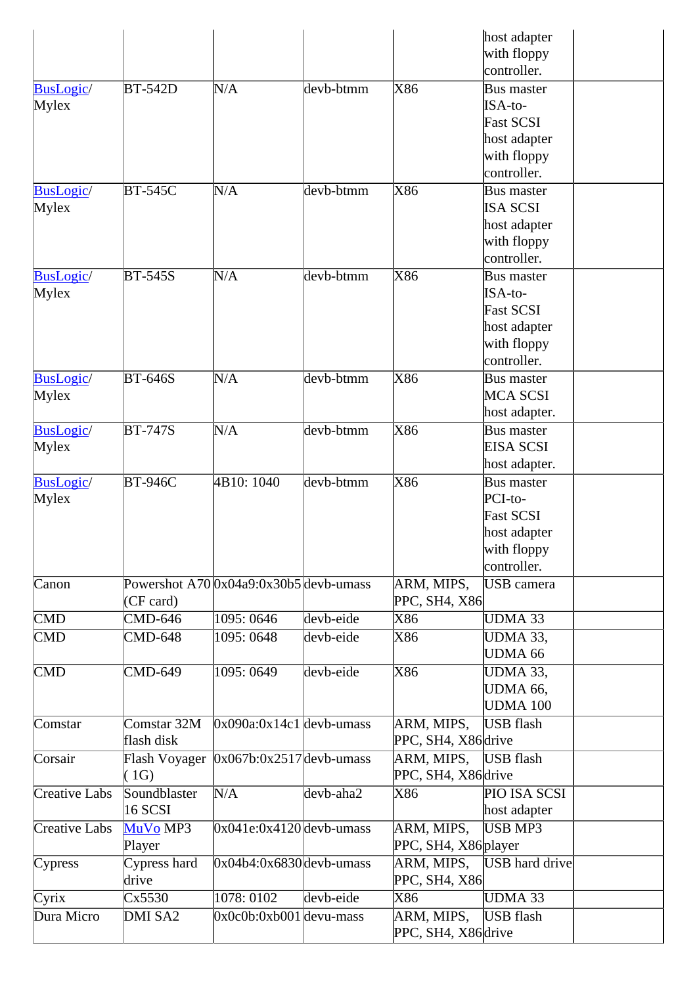| with floppy<br>controller.<br>X86<br><b>BusLogic</b> /<br>N/A<br>devb-btmm<br><b>BT-542D</b><br><b>Bus master</b><br>Mylex<br>ISA-to-<br><b>Fast SCSI</b><br>host adapter<br>with floppy<br>controller.<br>X86<br><b>BT-545C</b><br>N/A<br>devb-btmm<br><b>BusLogic</b> /<br><b>Bus master</b><br><b>ISA SCSI</b><br>host adapter<br>with floppy<br>controller.<br>X86<br><b>BusLogic/</b><br><b>BT-545S</b><br>N/A<br>$devb$ -btmm<br><b>Bus master</b><br>ISA-to-<br>Mylex<br><b>Fast SCSI</b><br>host adapter<br>with floppy<br>controller.<br>X86<br><b>BT-646S</b><br>N/A<br><b>BusLogic</b> /<br>devb-btmm<br><b>Bus master</b><br><b>MCA SCSI</b><br>host adapter.<br>$\overline{\text{X86}}$<br><b>BT-747S</b><br>N/A<br>$devb$ -btmm<br><b>BusLogic</b> /<br><b>Bus master</b><br><b>EISA SCSI</b><br>Mylex<br>host adapter.<br>X86<br>4B10: 1040<br>devb-btmm<br><b>BT-946C</b><br><b>BusLogic</b> /<br><b>Bus master</b><br>PCI-to-<br>Mylex<br><b>Fast SCSI</b><br>host adapter<br>with floppy<br>controller.<br>Powershot $A70 0x04a9:0x30b5 $ devb-umass<br>ARM, MIPS,<br>USB camera<br>PPC, SH4, X86<br>(CF card)<br><b>CMD-646</b><br>1095: 0646<br>devb-eide<br>X86<br><b>UDMA 33</b><br>1095: 0648<br>X86<br><b>CMD</b><br><b>CMD-648</b><br>devb-eide<br>UDMA 33,<br><b>UDMA 66</b><br>X86<br>$\mathbf{CMD}$<br><b>CMD-649</b><br>1095: 0649<br>devb-eide<br>UDMA 33,<br><b>UDMA 66,</b><br><b>UDMA 100</b><br>Comstar 32M<br>USB flash<br>$0x090a:0x14c1$ devb-umass<br>ARM, MIPS,<br>Comstar<br>flash disk<br>PPC, SH4, X86 drive<br>ARM, MIPS,<br><b>USB</b> flash<br>$0x067b:0x2517$ devb-umass<br>Flash Voyager<br>PPC, SH4, X86 drive<br>(1G)<br>Soundblaster<br>PIO ISA SCSI<br>N/A<br>Creative Labs<br>devb-aha2<br>X86<br><b>16 SCSI</b><br>host adapter<br>$0x041e:0x4120$ devb-umass<br><b>USB MP3</b><br>Creative Labs<br>MuVo MP3<br>ARM, MIPS,<br>PPC, SH4, X86 player<br>Player<br>Cypress hard<br>$0x04b4:0x6830$ devb-umass<br>ARM, MIPS,<br><b>USB</b> hard drive<br>Cypress<br>PPC, SH4, X86<br>drive<br>1078: 0102<br>X86<br><b>UDMA 33</b><br>Cx5530<br>devb-eide<br><b>USB</b> flash<br>DMI SA2<br>$0x0c0b:0xb001$ devu-mass<br>ARM, MIPS,<br>PPC, SH4, X86 drive |            |  |  | host adapter |  |
|------------------------------------------------------------------------------------------------------------------------------------------------------------------------------------------------------------------------------------------------------------------------------------------------------------------------------------------------------------------------------------------------------------------------------------------------------------------------------------------------------------------------------------------------------------------------------------------------------------------------------------------------------------------------------------------------------------------------------------------------------------------------------------------------------------------------------------------------------------------------------------------------------------------------------------------------------------------------------------------------------------------------------------------------------------------------------------------------------------------------------------------------------------------------------------------------------------------------------------------------------------------------------------------------------------------------------------------------------------------------------------------------------------------------------------------------------------------------------------------------------------------------------------------------------------------------------------------------------------------------------------------------------------------------------------------------------------------------------------------------------------------------------------------------------------------------------------------------------------------------------------------------------------------------------------------------------------------------------------------------------------------------------------------------------------------------------------------------------------------------------------------------------------------------------------------------------------|------------|--|--|--------------|--|
|                                                                                                                                                                                                                                                                                                                                                                                                                                                                                                                                                                                                                                                                                                                                                                                                                                                                                                                                                                                                                                                                                                                                                                                                                                                                                                                                                                                                                                                                                                                                                                                                                                                                                                                                                                                                                                                                                                                                                                                                                                                                                                                                                                                                            |            |  |  |              |  |
|                                                                                                                                                                                                                                                                                                                                                                                                                                                                                                                                                                                                                                                                                                                                                                                                                                                                                                                                                                                                                                                                                                                                                                                                                                                                                                                                                                                                                                                                                                                                                                                                                                                                                                                                                                                                                                                                                                                                                                                                                                                                                                                                                                                                            |            |  |  |              |  |
|                                                                                                                                                                                                                                                                                                                                                                                                                                                                                                                                                                                                                                                                                                                                                                                                                                                                                                                                                                                                                                                                                                                                                                                                                                                                                                                                                                                                                                                                                                                                                                                                                                                                                                                                                                                                                                                                                                                                                                                                                                                                                                                                                                                                            |            |  |  |              |  |
|                                                                                                                                                                                                                                                                                                                                                                                                                                                                                                                                                                                                                                                                                                                                                                                                                                                                                                                                                                                                                                                                                                                                                                                                                                                                                                                                                                                                                                                                                                                                                                                                                                                                                                                                                                                                                                                                                                                                                                                                                                                                                                                                                                                                            |            |  |  |              |  |
|                                                                                                                                                                                                                                                                                                                                                                                                                                                                                                                                                                                                                                                                                                                                                                                                                                                                                                                                                                                                                                                                                                                                                                                                                                                                                                                                                                                                                                                                                                                                                                                                                                                                                                                                                                                                                                                                                                                                                                                                                                                                                                                                                                                                            |            |  |  |              |  |
|                                                                                                                                                                                                                                                                                                                                                                                                                                                                                                                                                                                                                                                                                                                                                                                                                                                                                                                                                                                                                                                                                                                                                                                                                                                                                                                                                                                                                                                                                                                                                                                                                                                                                                                                                                                                                                                                                                                                                                                                                                                                                                                                                                                                            |            |  |  |              |  |
|                                                                                                                                                                                                                                                                                                                                                                                                                                                                                                                                                                                                                                                                                                                                                                                                                                                                                                                                                                                                                                                                                                                                                                                                                                                                                                                                                                                                                                                                                                                                                                                                                                                                                                                                                                                                                                                                                                                                                                                                                                                                                                                                                                                                            |            |  |  |              |  |
|                                                                                                                                                                                                                                                                                                                                                                                                                                                                                                                                                                                                                                                                                                                                                                                                                                                                                                                                                                                                                                                                                                                                                                                                                                                                                                                                                                                                                                                                                                                                                                                                                                                                                                                                                                                                                                                                                                                                                                                                                                                                                                                                                                                                            |            |  |  |              |  |
|                                                                                                                                                                                                                                                                                                                                                                                                                                                                                                                                                                                                                                                                                                                                                                                                                                                                                                                                                                                                                                                                                                                                                                                                                                                                                                                                                                                                                                                                                                                                                                                                                                                                                                                                                                                                                                                                                                                                                                                                                                                                                                                                                                                                            |            |  |  |              |  |
|                                                                                                                                                                                                                                                                                                                                                                                                                                                                                                                                                                                                                                                                                                                                                                                                                                                                                                                                                                                                                                                                                                                                                                                                                                                                                                                                                                                                                                                                                                                                                                                                                                                                                                                                                                                                                                                                                                                                                                                                                                                                                                                                                                                                            |            |  |  |              |  |
|                                                                                                                                                                                                                                                                                                                                                                                                                                                                                                                                                                                                                                                                                                                                                                                                                                                                                                                                                                                                                                                                                                                                                                                                                                                                                                                                                                                                                                                                                                                                                                                                                                                                                                                                                                                                                                                                                                                                                                                                                                                                                                                                                                                                            | Mylex      |  |  |              |  |
|                                                                                                                                                                                                                                                                                                                                                                                                                                                                                                                                                                                                                                                                                                                                                                                                                                                                                                                                                                                                                                                                                                                                                                                                                                                                                                                                                                                                                                                                                                                                                                                                                                                                                                                                                                                                                                                                                                                                                                                                                                                                                                                                                                                                            |            |  |  |              |  |
|                                                                                                                                                                                                                                                                                                                                                                                                                                                                                                                                                                                                                                                                                                                                                                                                                                                                                                                                                                                                                                                                                                                                                                                                                                                                                                                                                                                                                                                                                                                                                                                                                                                                                                                                                                                                                                                                                                                                                                                                                                                                                                                                                                                                            |            |  |  |              |  |
|                                                                                                                                                                                                                                                                                                                                                                                                                                                                                                                                                                                                                                                                                                                                                                                                                                                                                                                                                                                                                                                                                                                                                                                                                                                                                                                                                                                                                                                                                                                                                                                                                                                                                                                                                                                                                                                                                                                                                                                                                                                                                                                                                                                                            |            |  |  |              |  |
|                                                                                                                                                                                                                                                                                                                                                                                                                                                                                                                                                                                                                                                                                                                                                                                                                                                                                                                                                                                                                                                                                                                                                                                                                                                                                                                                                                                                                                                                                                                                                                                                                                                                                                                                                                                                                                                                                                                                                                                                                                                                                                                                                                                                            |            |  |  |              |  |
|                                                                                                                                                                                                                                                                                                                                                                                                                                                                                                                                                                                                                                                                                                                                                                                                                                                                                                                                                                                                                                                                                                                                                                                                                                                                                                                                                                                                                                                                                                                                                                                                                                                                                                                                                                                                                                                                                                                                                                                                                                                                                                                                                                                                            |            |  |  |              |  |
|                                                                                                                                                                                                                                                                                                                                                                                                                                                                                                                                                                                                                                                                                                                                                                                                                                                                                                                                                                                                                                                                                                                                                                                                                                                                                                                                                                                                                                                                                                                                                                                                                                                                                                                                                                                                                                                                                                                                                                                                                                                                                                                                                                                                            |            |  |  |              |  |
|                                                                                                                                                                                                                                                                                                                                                                                                                                                                                                                                                                                                                                                                                                                                                                                                                                                                                                                                                                                                                                                                                                                                                                                                                                                                                                                                                                                                                                                                                                                                                                                                                                                                                                                                                                                                                                                                                                                                                                                                                                                                                                                                                                                                            |            |  |  |              |  |
|                                                                                                                                                                                                                                                                                                                                                                                                                                                                                                                                                                                                                                                                                                                                                                                                                                                                                                                                                                                                                                                                                                                                                                                                                                                                                                                                                                                                                                                                                                                                                                                                                                                                                                                                                                                                                                                                                                                                                                                                                                                                                                                                                                                                            |            |  |  |              |  |
|                                                                                                                                                                                                                                                                                                                                                                                                                                                                                                                                                                                                                                                                                                                                                                                                                                                                                                                                                                                                                                                                                                                                                                                                                                                                                                                                                                                                                                                                                                                                                                                                                                                                                                                                                                                                                                                                                                                                                                                                                                                                                                                                                                                                            |            |  |  |              |  |
|                                                                                                                                                                                                                                                                                                                                                                                                                                                                                                                                                                                                                                                                                                                                                                                                                                                                                                                                                                                                                                                                                                                                                                                                                                                                                                                                                                                                                                                                                                                                                                                                                                                                                                                                                                                                                                                                                                                                                                                                                                                                                                                                                                                                            |            |  |  |              |  |
|                                                                                                                                                                                                                                                                                                                                                                                                                                                                                                                                                                                                                                                                                                                                                                                                                                                                                                                                                                                                                                                                                                                                                                                                                                                                                                                                                                                                                                                                                                                                                                                                                                                                                                                                                                                                                                                                                                                                                                                                                                                                                                                                                                                                            |            |  |  |              |  |
|                                                                                                                                                                                                                                                                                                                                                                                                                                                                                                                                                                                                                                                                                                                                                                                                                                                                                                                                                                                                                                                                                                                                                                                                                                                                                                                                                                                                                                                                                                                                                                                                                                                                                                                                                                                                                                                                                                                                                                                                                                                                                                                                                                                                            | Mylex      |  |  |              |  |
|                                                                                                                                                                                                                                                                                                                                                                                                                                                                                                                                                                                                                                                                                                                                                                                                                                                                                                                                                                                                                                                                                                                                                                                                                                                                                                                                                                                                                                                                                                                                                                                                                                                                                                                                                                                                                                                                                                                                                                                                                                                                                                                                                                                                            |            |  |  |              |  |
|                                                                                                                                                                                                                                                                                                                                                                                                                                                                                                                                                                                                                                                                                                                                                                                                                                                                                                                                                                                                                                                                                                                                                                                                                                                                                                                                                                                                                                                                                                                                                                                                                                                                                                                                                                                                                                                                                                                                                                                                                                                                                                                                                                                                            |            |  |  |              |  |
|                                                                                                                                                                                                                                                                                                                                                                                                                                                                                                                                                                                                                                                                                                                                                                                                                                                                                                                                                                                                                                                                                                                                                                                                                                                                                                                                                                                                                                                                                                                                                                                                                                                                                                                                                                                                                                                                                                                                                                                                                                                                                                                                                                                                            |            |  |  |              |  |
|                                                                                                                                                                                                                                                                                                                                                                                                                                                                                                                                                                                                                                                                                                                                                                                                                                                                                                                                                                                                                                                                                                                                                                                                                                                                                                                                                                                                                                                                                                                                                                                                                                                                                                                                                                                                                                                                                                                                                                                                                                                                                                                                                                                                            |            |  |  |              |  |
|                                                                                                                                                                                                                                                                                                                                                                                                                                                                                                                                                                                                                                                                                                                                                                                                                                                                                                                                                                                                                                                                                                                                                                                                                                                                                                                                                                                                                                                                                                                                                                                                                                                                                                                                                                                                                                                                                                                                                                                                                                                                                                                                                                                                            |            |  |  |              |  |
|                                                                                                                                                                                                                                                                                                                                                                                                                                                                                                                                                                                                                                                                                                                                                                                                                                                                                                                                                                                                                                                                                                                                                                                                                                                                                                                                                                                                                                                                                                                                                                                                                                                                                                                                                                                                                                                                                                                                                                                                                                                                                                                                                                                                            |            |  |  |              |  |
|                                                                                                                                                                                                                                                                                                                                                                                                                                                                                                                                                                                                                                                                                                                                                                                                                                                                                                                                                                                                                                                                                                                                                                                                                                                                                                                                                                                                                                                                                                                                                                                                                                                                                                                                                                                                                                                                                                                                                                                                                                                                                                                                                                                                            |            |  |  |              |  |
|                                                                                                                                                                                                                                                                                                                                                                                                                                                                                                                                                                                                                                                                                                                                                                                                                                                                                                                                                                                                                                                                                                                                                                                                                                                                                                                                                                                                                                                                                                                                                                                                                                                                                                                                                                                                                                                                                                                                                                                                                                                                                                                                                                                                            |            |  |  |              |  |
|                                                                                                                                                                                                                                                                                                                                                                                                                                                                                                                                                                                                                                                                                                                                                                                                                                                                                                                                                                                                                                                                                                                                                                                                                                                                                                                                                                                                                                                                                                                                                                                                                                                                                                                                                                                                                                                                                                                                                                                                                                                                                                                                                                                                            |            |  |  |              |  |
|                                                                                                                                                                                                                                                                                                                                                                                                                                                                                                                                                                                                                                                                                                                                                                                                                                                                                                                                                                                                                                                                                                                                                                                                                                                                                                                                                                                                                                                                                                                                                                                                                                                                                                                                                                                                                                                                                                                                                                                                                                                                                                                                                                                                            |            |  |  |              |  |
|                                                                                                                                                                                                                                                                                                                                                                                                                                                                                                                                                                                                                                                                                                                                                                                                                                                                                                                                                                                                                                                                                                                                                                                                                                                                                                                                                                                                                                                                                                                                                                                                                                                                                                                                                                                                                                                                                                                                                                                                                                                                                                                                                                                                            |            |  |  |              |  |
|                                                                                                                                                                                                                                                                                                                                                                                                                                                                                                                                                                                                                                                                                                                                                                                                                                                                                                                                                                                                                                                                                                                                                                                                                                                                                                                                                                                                                                                                                                                                                                                                                                                                                                                                                                                                                                                                                                                                                                                                                                                                                                                                                                                                            | Canon      |  |  |              |  |
|                                                                                                                                                                                                                                                                                                                                                                                                                                                                                                                                                                                                                                                                                                                                                                                                                                                                                                                                                                                                                                                                                                                                                                                                                                                                                                                                                                                                                                                                                                                                                                                                                                                                                                                                                                                                                                                                                                                                                                                                                                                                                                                                                                                                            |            |  |  |              |  |
|                                                                                                                                                                                                                                                                                                                                                                                                                                                                                                                                                                                                                                                                                                                                                                                                                                                                                                                                                                                                                                                                                                                                                                                                                                                                                                                                                                                                                                                                                                                                                                                                                                                                                                                                                                                                                                                                                                                                                                                                                                                                                                                                                                                                            | <b>CMD</b> |  |  |              |  |
|                                                                                                                                                                                                                                                                                                                                                                                                                                                                                                                                                                                                                                                                                                                                                                                                                                                                                                                                                                                                                                                                                                                                                                                                                                                                                                                                                                                                                                                                                                                                                                                                                                                                                                                                                                                                                                                                                                                                                                                                                                                                                                                                                                                                            |            |  |  |              |  |
|                                                                                                                                                                                                                                                                                                                                                                                                                                                                                                                                                                                                                                                                                                                                                                                                                                                                                                                                                                                                                                                                                                                                                                                                                                                                                                                                                                                                                                                                                                                                                                                                                                                                                                                                                                                                                                                                                                                                                                                                                                                                                                                                                                                                            |            |  |  |              |  |
|                                                                                                                                                                                                                                                                                                                                                                                                                                                                                                                                                                                                                                                                                                                                                                                                                                                                                                                                                                                                                                                                                                                                                                                                                                                                                                                                                                                                                                                                                                                                                                                                                                                                                                                                                                                                                                                                                                                                                                                                                                                                                                                                                                                                            |            |  |  |              |  |
|                                                                                                                                                                                                                                                                                                                                                                                                                                                                                                                                                                                                                                                                                                                                                                                                                                                                                                                                                                                                                                                                                                                                                                                                                                                                                                                                                                                                                                                                                                                                                                                                                                                                                                                                                                                                                                                                                                                                                                                                                                                                                                                                                                                                            |            |  |  |              |  |
|                                                                                                                                                                                                                                                                                                                                                                                                                                                                                                                                                                                                                                                                                                                                                                                                                                                                                                                                                                                                                                                                                                                                                                                                                                                                                                                                                                                                                                                                                                                                                                                                                                                                                                                                                                                                                                                                                                                                                                                                                                                                                                                                                                                                            |            |  |  |              |  |
|                                                                                                                                                                                                                                                                                                                                                                                                                                                                                                                                                                                                                                                                                                                                                                                                                                                                                                                                                                                                                                                                                                                                                                                                                                                                                                                                                                                                                                                                                                                                                                                                                                                                                                                                                                                                                                                                                                                                                                                                                                                                                                                                                                                                            |            |  |  |              |  |
|                                                                                                                                                                                                                                                                                                                                                                                                                                                                                                                                                                                                                                                                                                                                                                                                                                                                                                                                                                                                                                                                                                                                                                                                                                                                                                                                                                                                                                                                                                                                                                                                                                                                                                                                                                                                                                                                                                                                                                                                                                                                                                                                                                                                            |            |  |  |              |  |
|                                                                                                                                                                                                                                                                                                                                                                                                                                                                                                                                                                                                                                                                                                                                                                                                                                                                                                                                                                                                                                                                                                                                                                                                                                                                                                                                                                                                                                                                                                                                                                                                                                                                                                                                                                                                                                                                                                                                                                                                                                                                                                                                                                                                            |            |  |  |              |  |
|                                                                                                                                                                                                                                                                                                                                                                                                                                                                                                                                                                                                                                                                                                                                                                                                                                                                                                                                                                                                                                                                                                                                                                                                                                                                                                                                                                                                                                                                                                                                                                                                                                                                                                                                                                                                                                                                                                                                                                                                                                                                                                                                                                                                            | Corsair    |  |  |              |  |
|                                                                                                                                                                                                                                                                                                                                                                                                                                                                                                                                                                                                                                                                                                                                                                                                                                                                                                                                                                                                                                                                                                                                                                                                                                                                                                                                                                                                                                                                                                                                                                                                                                                                                                                                                                                                                                                                                                                                                                                                                                                                                                                                                                                                            |            |  |  |              |  |
|                                                                                                                                                                                                                                                                                                                                                                                                                                                                                                                                                                                                                                                                                                                                                                                                                                                                                                                                                                                                                                                                                                                                                                                                                                                                                                                                                                                                                                                                                                                                                                                                                                                                                                                                                                                                                                                                                                                                                                                                                                                                                                                                                                                                            |            |  |  |              |  |
|                                                                                                                                                                                                                                                                                                                                                                                                                                                                                                                                                                                                                                                                                                                                                                                                                                                                                                                                                                                                                                                                                                                                                                                                                                                                                                                                                                                                                                                                                                                                                                                                                                                                                                                                                                                                                                                                                                                                                                                                                                                                                                                                                                                                            |            |  |  |              |  |
|                                                                                                                                                                                                                                                                                                                                                                                                                                                                                                                                                                                                                                                                                                                                                                                                                                                                                                                                                                                                                                                                                                                                                                                                                                                                                                                                                                                                                                                                                                                                                                                                                                                                                                                                                                                                                                                                                                                                                                                                                                                                                                                                                                                                            |            |  |  |              |  |
|                                                                                                                                                                                                                                                                                                                                                                                                                                                                                                                                                                                                                                                                                                                                                                                                                                                                                                                                                                                                                                                                                                                                                                                                                                                                                                                                                                                                                                                                                                                                                                                                                                                                                                                                                                                                                                                                                                                                                                                                                                                                                                                                                                                                            |            |  |  |              |  |
|                                                                                                                                                                                                                                                                                                                                                                                                                                                                                                                                                                                                                                                                                                                                                                                                                                                                                                                                                                                                                                                                                                                                                                                                                                                                                                                                                                                                                                                                                                                                                                                                                                                                                                                                                                                                                                                                                                                                                                                                                                                                                                                                                                                                            |            |  |  |              |  |
|                                                                                                                                                                                                                                                                                                                                                                                                                                                                                                                                                                                                                                                                                                                                                                                                                                                                                                                                                                                                                                                                                                                                                                                                                                                                                                                                                                                                                                                                                                                                                                                                                                                                                                                                                                                                                                                                                                                                                                                                                                                                                                                                                                                                            |            |  |  |              |  |
|                                                                                                                                                                                                                                                                                                                                                                                                                                                                                                                                                                                                                                                                                                                                                                                                                                                                                                                                                                                                                                                                                                                                                                                                                                                                                                                                                                                                                                                                                                                                                                                                                                                                                                                                                                                                                                                                                                                                                                                                                                                                                                                                                                                                            |            |  |  |              |  |
|                                                                                                                                                                                                                                                                                                                                                                                                                                                                                                                                                                                                                                                                                                                                                                                                                                                                                                                                                                                                                                                                                                                                                                                                                                                                                                                                                                                                                                                                                                                                                                                                                                                                                                                                                                                                                                                                                                                                                                                                                                                                                                                                                                                                            | Cyrix      |  |  |              |  |
|                                                                                                                                                                                                                                                                                                                                                                                                                                                                                                                                                                                                                                                                                                                                                                                                                                                                                                                                                                                                                                                                                                                                                                                                                                                                                                                                                                                                                                                                                                                                                                                                                                                                                                                                                                                                                                                                                                                                                                                                                                                                                                                                                                                                            | Dura Micro |  |  |              |  |
|                                                                                                                                                                                                                                                                                                                                                                                                                                                                                                                                                                                                                                                                                                                                                                                                                                                                                                                                                                                                                                                                                                                                                                                                                                                                                                                                                                                                                                                                                                                                                                                                                                                                                                                                                                                                                                                                                                                                                                                                                                                                                                                                                                                                            |            |  |  |              |  |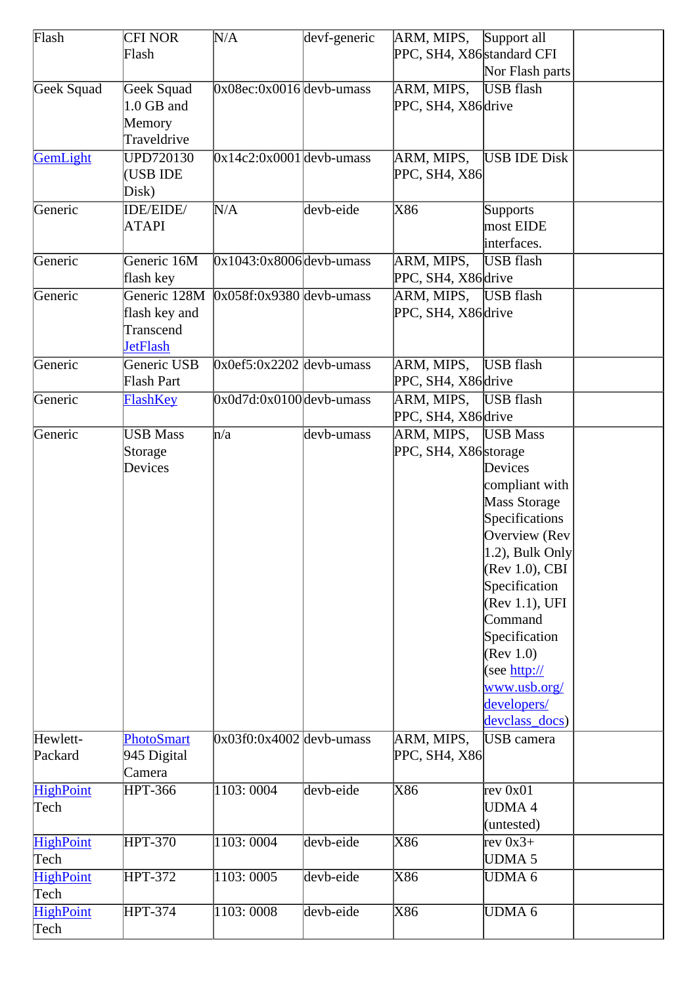| Flash            | <b>CFI NOR</b>    | N/A                        | devf-generic | ARM, MIPS, Support all     |                     |  |
|------------------|-------------------|----------------------------|--------------|----------------------------|---------------------|--|
|                  | Flash             |                            |              | PPC, SH4, X86 standard CFI |                     |  |
|                  |                   |                            |              |                            | Nor Flash parts     |  |
| Geek Squad       | Geek Squad        | $0x08ec:0x0016$ devb-umass |              | ARM, MIPS,                 | <b>USB</b> flash    |  |
|                  | 1.0 GB and        |                            |              | PPC, SH4, X86 drive        |                     |  |
|                  | Memory            |                            |              |                            |                     |  |
|                  |                   |                            |              |                            |                     |  |
|                  | Traveldrive       |                            |              |                            |                     |  |
| GemLight         | <b>UPD720130</b>  | $0x14c2:0x0001$ devb-umass |              | ARM, MIPS,                 | <b>USB IDE Disk</b> |  |
|                  | (USB IDE          |                            |              | PPC, SH4, X86              |                     |  |
|                  | Disk)             |                            |              |                            |                     |  |
| Generic          | IDE/EIDE/         | N/A                        | devb-eide    | X86                        | Supports            |  |
|                  | <b>ATAPI</b>      |                            |              |                            | most EIDE           |  |
|                  |                   |                            |              |                            | interfaces.         |  |
| Generic          | Generic 16M       | $0x1043:0x8006$ devb-umass |              | ARM, MIPS,                 | USB flash           |  |
|                  | flash key         |                            |              | PPC, SH4, X86 drive        |                     |  |
| Generic          | Generic 128M      | $0x058f:0x9380$ devb-umass |              | ARM, MIPS,                 | USB flash           |  |
|                  | flash key and     |                            |              | PPC, SH4, X86 drive        |                     |  |
|                  | Transcend         |                            |              |                            |                     |  |
|                  | <b>JetFlash</b>   |                            |              |                            |                     |  |
| Generic          | Generic USB       | $0x0ef5:0x2202$ devb-umass |              | ARM, MIPS,                 | USB flash           |  |
|                  | Flash Part        |                            |              | PPC, SH4, X86 drive        |                     |  |
| Generic          |                   | $0x0d7d:0x0100$ devb-umass |              |                            | USB flash           |  |
|                  | FlashKey          |                            |              | ARM, MIPS,                 |                     |  |
|                  |                   |                            |              | PPC, SH4, X86 drive        |                     |  |
| Generic          | <b>USB</b> Mass   | n/a                        | devb-umass   | ARM, MIPS, USB Mass        |                     |  |
|                  | Storage           |                            |              | PPC, SH4, X86 storage      |                     |  |
|                  | Devices           |                            |              |                            | Devices             |  |
|                  |                   |                            |              |                            | compliant with      |  |
|                  |                   |                            |              |                            | Mass Storage        |  |
|                  |                   |                            |              |                            | Specifications      |  |
|                  |                   |                            |              |                            | Overview (Rev       |  |
|                  |                   |                            |              |                            | $(1.2)$ , Bulk Only |  |
|                  |                   |                            |              |                            | (Rev 1.0), CBI      |  |
|                  |                   |                            |              |                            | Specification       |  |
|                  |                   |                            |              |                            | (Rev 1.1), UFI      |  |
|                  |                   |                            |              |                            | Command             |  |
|                  |                   |                            |              |                            | Specification       |  |
|                  |                   |                            |              |                            | $(\text{Rev } 1.0)$ |  |
|                  |                   |                            |              |                            | (see http://        |  |
|                  |                   |                            |              |                            | www.usb.org/        |  |
|                  |                   |                            |              |                            |                     |  |
|                  |                   |                            |              |                            | developers/         |  |
|                  |                   |                            |              |                            | devclass_docs)      |  |
| Hewlett-         | <b>PhotoSmart</b> | $0x03f0:0x4002$ devb-umass |              | ARM, MIPS,                 | <b>USB</b> camera   |  |
| Packard          | 945 Digital       |                            |              | PPC, SH4, X86              |                     |  |
|                  | Camera            |                            |              |                            |                     |  |
| <b>HighPoint</b> | <b>HPT-366</b>    | 1103:0004                  | devb-eide    | X86                        | rev 0x01            |  |
| Tech             |                   |                            |              |                            | <b>UDMA4</b>        |  |
|                  |                   |                            |              |                            | (untested)          |  |
| <b>HighPoint</b> | <b>HPT-370</b>    | 1103:0004                  | devb-eide    | X86                        | rev $0x3+$          |  |
| Tech             |                   |                            |              |                            | UDMA <sub>5</sub>   |  |
| <b>HighPoint</b> | <b>HPT-372</b>    | 1103:0005                  | devb-eide    | X86                        | UDMA <sub>6</sub>   |  |
| Tech             |                   |                            |              |                            |                     |  |
| <b>HighPoint</b> | <b>HPT-374</b>    | 1103:0008                  | devb-eide    | X86                        | UDMA <sub>6</sub>   |  |
| Tech             |                   |                            |              |                            |                     |  |
|                  |                   |                            |              |                            |                     |  |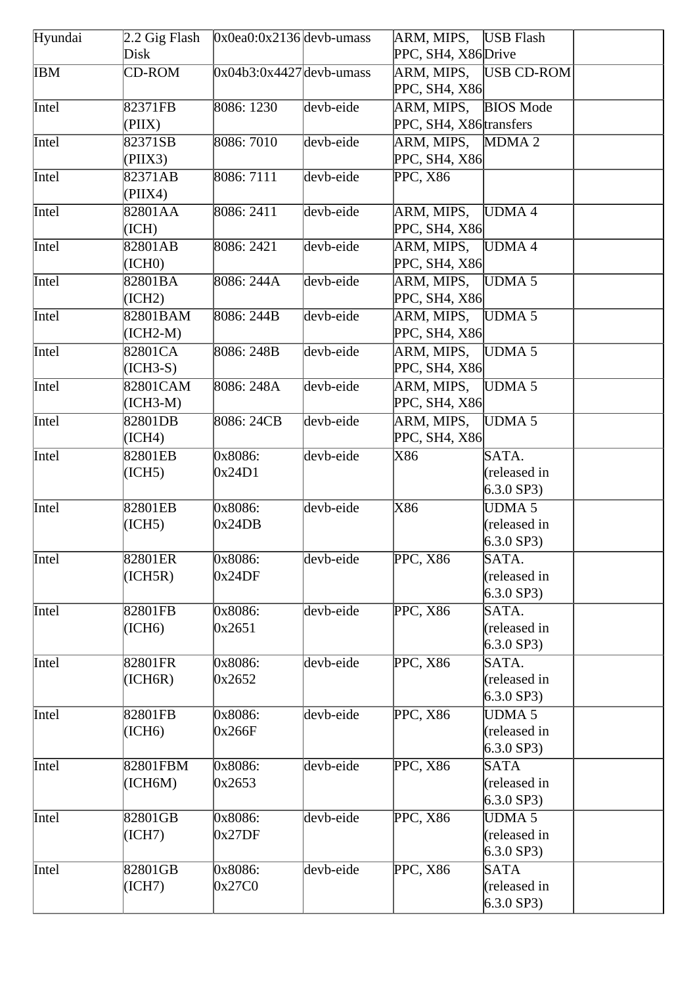| Hyundai    | $2.2$ Gig Flash        | $0x0ea0:0x2136$ devb-umass |           | ARM, MIPS,                            | <b>USB</b> Flash                              |  |
|------------|------------------------|----------------------------|-----------|---------------------------------------|-----------------------------------------------|--|
|            | Disk                   |                            |           | PPC, SH4, X86 Drive                   |                                               |  |
| <b>IBM</b> | <b>CD-ROM</b>          | $0x04b3:0x4427$ devb-umass |           | ARM, MIPS,<br>PPC, SH4, X86           | USB CD-ROM                                    |  |
| Intel      | 82371FB<br>(PIIX)      | 8086: 1230                 | devb-eide | ARM, MIPS,<br>PPC, SH4, X86 transfers | <b>BIOS</b> Mode                              |  |
| Intel      | 82371SB<br>(PIIX3)     | 8086: 7010                 | devb-eide | ARM, MIPS,<br>PPC, SH4, X86           | MDMA <sub>2</sub>                             |  |
| Intel      | 82371AB<br>(PIIX4)     | 8086: 7111                 | devb-eide | PPC, X86                              |                                               |  |
| Intel      | 82801AA<br>(ICH)       | 8086: 2411                 | devb-eide | ARM, MIPS,<br>PPC, SH4, X86           | UDMA4                                         |  |
| Intel      | 82801AB<br>(ICH0)      | 8086: 2421                 | devb-eide | ARM, MIPS,<br>PPC, SH4, X86           | UDMA4                                         |  |
| Intel      | 82801BA<br>(ICH2)      | 8086: 244A                 | devb-eide | ARM, MIPS,<br>PPC, SH4, X86           | UDMA <sub>5</sub>                             |  |
| Intel      | 82801BAM<br>$(ICH2-M)$ | 8086: 244B                 | devb-eide | ARM, MIPS,<br>PPC, SH4, X86           | UDMA <sub>5</sub>                             |  |
| Intel      | 82801CA<br>$(ICH3-S)$  | 8086: 248B                 | devb-eide | ARM, MIPS,<br>PPC, SH4, X86           | UDMA <sub>5</sub>                             |  |
| Intel      | 82801CAM<br>$(ICH3-M)$ | 8086: 248A                 | devb-eide | ARM, MIPS,<br>PPC, SH4, X86           | UDMA <sub>5</sub>                             |  |
| Intel      | 82801DB<br>(ICH4)      | 8086: 24CB                 | devb-eide | ARM, MIPS,<br>PPC, SH4, X86           | UDMA <sub>5</sub>                             |  |
| Intel      | 82801EB<br>(ICH5)      | 0x8086:<br>0x24D1          | devb-eide | X86                                   | SATA.<br>(released in<br>$6.3.0$ SP3)         |  |
| Intel      | 82801EB<br>(ICH5)      | 0x8086:<br>0x24DB          | devb-eide | X86                                   | <b>UDMA5</b><br>(released in<br>$6.3.0$ SP3)  |  |
| Intel      | 82801ER<br>(ICH5R)     | 0x8086:<br>0x24DF          | devb-eide | PPC, X86                              | SATA.<br>(released in<br>$6.3.0$ SP3)         |  |
| Intel      | 82801FB<br>(ICH6)      | 0x8086:<br>0x2651          | devb-eide | <b>PPC, X86</b>                       | SATA.<br>(released in<br>$6.3.0$ SP3)         |  |
| Intel      | 82801FR<br>(ICH6R)     | 0x8086:<br>0x2652          | devb-eide | PPC, X86                              | SATA.<br>(released in<br>$6.3.0$ SP3)         |  |
| Intel      | 82801FB<br>(ICH6)      | 0x8086:<br>0x266F          | devb-eide | <b>PPC, X86</b>                       | <b>UDMA 5</b><br>(released in<br>$6.3.0$ SP3) |  |
| Intel      | 82801FBM<br>(ICH6M)    | 0x8086:<br>0x2653          | devb-eide | PPC, X86                              | <b>SATA</b><br>(released in<br>$6.3.0$ SP3)   |  |
| Intel      | 82801GB<br>(ICH7)      | 0x8086:<br>0x27DF          | devb-eide | PPC, X86                              | UDMA 5<br>(released in<br>$6.3.0$ SP3)        |  |
| Intel      | 82801GB<br>(ICH7)      | 0x8086:<br>0x27C0          | devb-eide | PPC, X86                              | <b>SATA</b><br>(released in<br>$6.3.0$ SP3)   |  |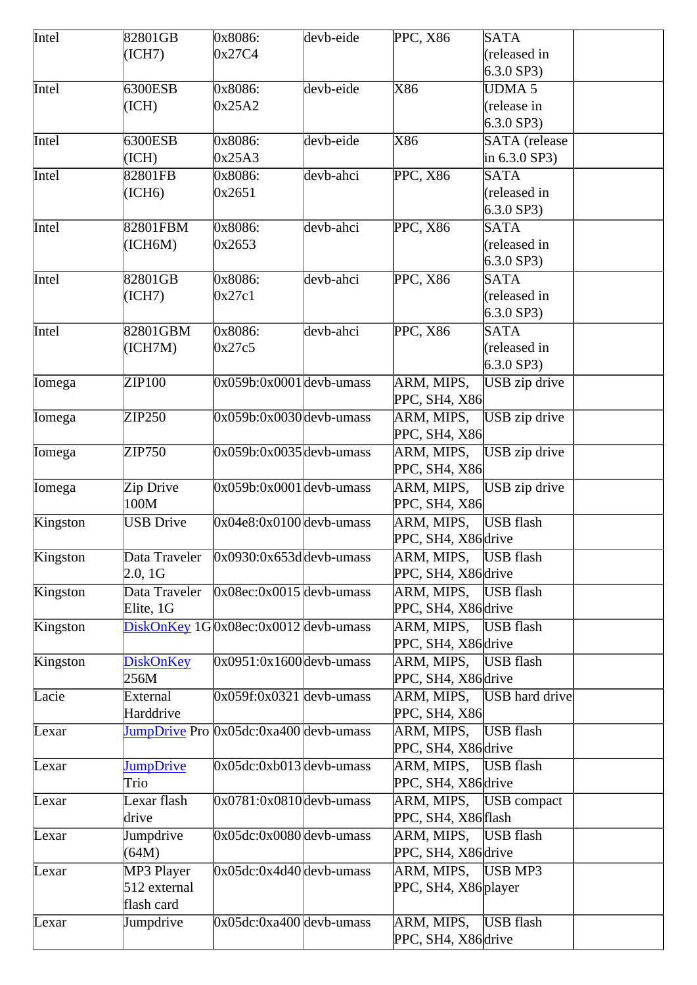| Intel         | 82801GB          | 0x8086:                                 | devb-eide | PPC, X86               | <b>SATA</b>          |  |
|---------------|------------------|-----------------------------------------|-----------|------------------------|----------------------|--|
|               | (ICH7)           | 0x27C4                                  |           |                        | (released in         |  |
|               |                  |                                         |           |                        | $6.3.0$ SP3)         |  |
| Intel         | 6300ESB          | 0x8086:                                 | devb-eide | X86                    | <b>UDMA 5</b>        |  |
|               |                  | 0x25A2                                  |           |                        |                      |  |
|               | (ICH)            |                                         |           |                        | (release in          |  |
|               |                  |                                         |           |                        | $6.3.0$ SP3)         |  |
| Intel         | 6300ESB          | 0x8086:                                 | devb-eide | X86                    | <b>SATA</b> (release |  |
|               | (ICH)            | 0x25A3                                  |           |                        | in $6.3.0$ SP3)      |  |
| Intel         | 82801FB          | 0x8086:                                 | devb-ahci | <b>PPC, X86</b>        | <b>SATA</b>          |  |
|               | (ICH6)           | 0x2651                                  |           |                        | (released in         |  |
|               |                  |                                         |           |                        | $6.3.0$ SP3)         |  |
| Intel         | 82801FBM         | 0x8086:                                 | devb-ahci | <b>PPC, X86</b>        | <b>SATA</b>          |  |
|               |                  |                                         |           |                        |                      |  |
|               | (ICH6M)          | 0x2653                                  |           |                        | (released in         |  |
|               |                  |                                         |           |                        | $6.3.0$ SP3)         |  |
| Intel         | 82801GB          | 0x8086:                                 | devb-ahci | <b>PPC, X86</b>        | <b>SATA</b>          |  |
|               | (ICH7)           | 0x27c1                                  |           |                        | (released in         |  |
|               |                  |                                         |           |                        | $6.3.0$ SP3)         |  |
| Intel         | 82801GBM         | 0x8086:                                 | devb-ahci | <b>PPC, X86</b>        | <b>SATA</b>          |  |
|               | (ICH7M)          | 0x27c5                                  |           |                        | (released in         |  |
|               |                  |                                         |           |                        | $6.3.0$ SP3)         |  |
|               |                  |                                         |           |                        |                      |  |
| Iomega        | ZIP100           | $0x059b:0x0001$ devb-umass              |           | ARM, MIPS,             | USB zip drive        |  |
|               |                  |                                         |           | PPC, SH4, X86          |                      |  |
| Iomega        | ZIP250           | $0x059b:0x0030$ devb-umass              |           | ARM, MIPS,             | USB zip drive        |  |
|               |                  |                                         |           | PPC, SH4, X86          |                      |  |
| <b>Iomega</b> | ZIP750           | $0x059b:0x0035$ devb-umass              |           | ARM, MIPS,             | USB zip drive        |  |
|               |                  |                                         |           | PPC, SH4, X86          |                      |  |
|               |                  | $0x059b:0x0001$ devb-umass              |           |                        |                      |  |
| Iomega        | Zip Drive        |                                         |           | ARM, MIPS,             | USB zip drive        |  |
|               | 100M             |                                         |           | PPC, SH4, X86          |                      |  |
| Kingston      | <b>USB Drive</b> | $0x04e8:0x0100$ devb-umass              |           | ARM, MIPS,             | USB flash            |  |
|               |                  |                                         |           | PPC, SH4, X86 drive    |                      |  |
| Kingston      | Data Traveler    | $0x0930:0x653d$ devb-umass              |           | ARM, MIPS, USB flash   |                      |  |
|               | 2.0, 1G          |                                         |           | PPC, SH4, X86 drive    |                      |  |
| Kingston      | Data Traveler    | $0x08ec:0x0015$ devb-umass              |           | ARM, MIPS,             | USB flash            |  |
|               | Elite, 1G        |                                         |           | PPC, SH4, X86 drive    |                      |  |
|               |                  | $DiskOnKey 1G 0x08ec:0x0012 devb-umass$ |           | ARM, MIPS,             | USB flash            |  |
| Kingston      |                  |                                         |           |                        |                      |  |
|               |                  |                                         |           | PPC, SH4, X86 drive    |                      |  |
| Kingston      | <b>DiskOnKey</b> | $0x0951:0x1600$ devb-umass              |           | ARM, MIPS,             | USB flash            |  |
|               | 256M             |                                         |           | PPC, SH4, X86 drive    |                      |  |
| Lacie         | External         | $0x059f:0x0321$ devb-umass              |           | ARM, MIPS,             | USB hard drive       |  |
|               | Harddrive        |                                         |           | PPC, SH4, X86          |                      |  |
| Lexar         |                  | JumpDrive Pro 0x05dc:0xa400 devb-umass  |           | ARM, MIPS,             | USB flash            |  |
|               |                  |                                         |           | PPC, SH4, X86 drive    |                      |  |
| Lexar         | <b>JumpDrive</b> | $0x05dc:0xb013$ devb-umass              |           | ARM, MIPS,             | USB flash            |  |
|               |                  |                                         |           |                        |                      |  |
|               | Trio             |                                         |           | PPC, SH4, X86 drive    |                      |  |
| Lexar         | Lexar flash      | $0x0781:0x0810$ devb-umass              |           | ARM, MIPS, USB compact |                      |  |
|               | drive            |                                         |           | PPC, SH4, X86 flash    |                      |  |
| Lexar         | Jumpdrive        | $0x05dc:0x0080$ devb-umass              |           | ARM, MIPS, USB flash   |                      |  |
|               | (64M)            |                                         |           | PPC, SH4, X86 drive    |                      |  |
| Lexar         | MP3 Player       | $0x05dc:0x4d40$ devb-umass              |           | ARM, MIPS, USB MP3     |                      |  |
|               | 512 external     |                                         |           | PPC, SH4, X86 player   |                      |  |
|               |                  |                                         |           |                        |                      |  |
|               | flash card       |                                         |           |                        |                      |  |
| Lexar         | Jumpdrive        | $0x05dc:0xa400$ devb-umass              |           | ARM, MIPS,             | USB flash            |  |
|               |                  |                                         |           | PPC, SH4, X86 drive    |                      |  |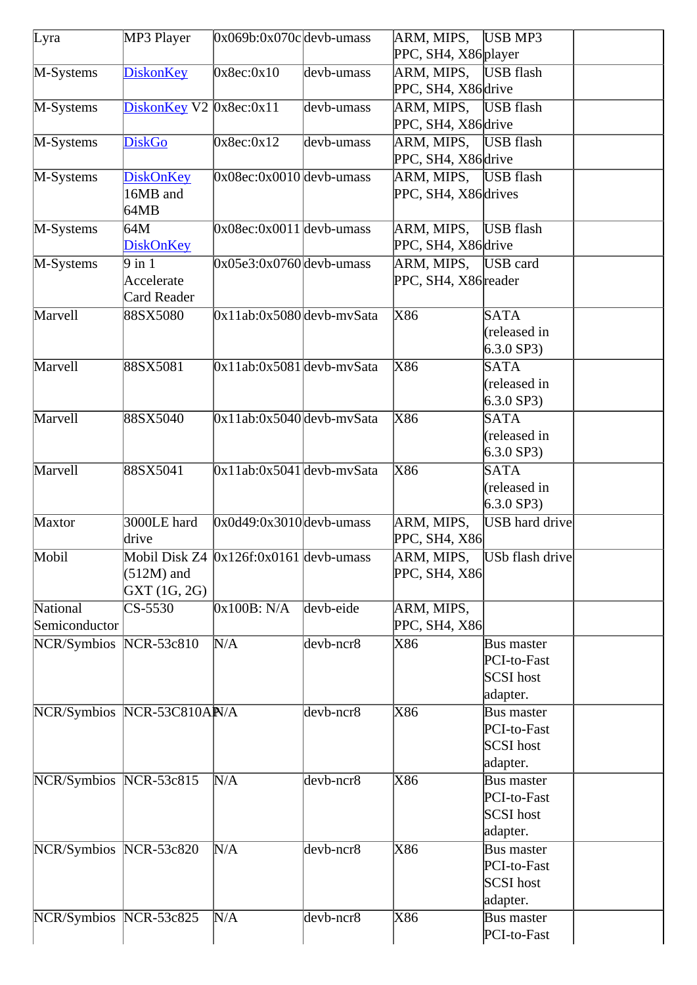| Lyra                   | MP3 Player                 | $0x069b:0x070c$ devb-umass             |             | ARM, MIPS, USB MP3      |                       |  |
|------------------------|----------------------------|----------------------------------------|-------------|-------------------------|-----------------------|--|
|                        |                            |                                        |             | PPC, SH4, X86 player    |                       |  |
| M-Systems              | <b>DiskonKey</b>           | 0x8ec:0x10                             | devb-umass  | ARM, MIPS,              | USB flash             |  |
|                        |                            |                                        |             | PPC, SH4, X86 drive     |                       |  |
| M-Systems              | DiskonKey V2 0x8ec:0x11    |                                        | devb-umass  | ARM, MIPS,              | USB flash             |  |
|                        |                            |                                        |             | PPC, SH4, X86 drive     |                       |  |
| M-Systems              | <b>DiskGo</b>              | 0x8ec:0x12                             | devb-umass  | ARM, MIPS,              | USB flash             |  |
|                        |                            |                                        |             | PPC, SH4, X86 drive     |                       |  |
| M-Systems              | <b>DiskOnKey</b>           | $0x08ec:0x0010$ devb-umass             |             | ARM, MIPS,              | USB flash             |  |
|                        | 16MB and                   |                                        |             | PPC, SH4, X86 drives    |                       |  |
|                        | 64MB                       |                                        |             |                         |                       |  |
| M-Systems              | 64M                        | $0x08ec:0x0011$ devb-umass             |             | ARM, MIPS,              | USB flash             |  |
|                        | <b>DiskOnKey</b>           |                                        |             | PPC, SH4, X86 drive     |                       |  |
| M-Systems              | $9$ in 1                   | $0x05e3:0x0760$ devb-umass             |             | ARM, MIPS, USB card     |                       |  |
|                        | Accelerate                 |                                        |             | PPC, SH4, X86 reader    |                       |  |
|                        | <b>Card Reader</b>         |                                        |             |                         |                       |  |
| Marvell                | 88SX5080                   | $0x11ab:0x5080$ devb-mySata            |             | $\overline{\text{X86}}$ | <b>SATA</b>           |  |
|                        |                            |                                        |             |                         | (released in          |  |
|                        |                            |                                        |             |                         | $6.3.0$ SP3)          |  |
| Marvell                | 88SX5081                   | $0x11ab:0x5081$ devb-mySata            |             | X86                     | <b>SATA</b>           |  |
|                        |                            |                                        |             |                         | (released in          |  |
|                        |                            |                                        |             |                         | $6.3.0$ SP3)          |  |
| Marvell                | 88SX5040                   | $0x11ab:0x5040$ devb-mySata            |             | $\overline{X86}$        | <b>SATA</b>           |  |
|                        |                            |                                        |             |                         | (released in          |  |
|                        |                            |                                        |             |                         | $6.3.0$ SP3)          |  |
| Marvell                | 88SX5041                   | $0x11ab:0x5041$ devb-mySata            |             | $\overline{\text{X86}}$ | <b>SATA</b>           |  |
|                        |                            |                                        |             |                         | (released in          |  |
|                        |                            |                                        |             |                         | $6.3.0$ SP3)          |  |
| Maxtor                 | 3000LE hard                | $0x0d49:0x3010$ devb-umass             |             | ARM, MIPS,              | <b>USB</b> hard drive |  |
|                        | drive                      |                                        |             | PPC, SH4, X86           |                       |  |
| Mobil                  |                            | Mobil Disk Z4 0x126f:0x0161 devb-umass |             | ĀRM, MIPS,              | USb flash drive       |  |
|                        | $(512M)$ and               |                                        |             | PPC, SH4, X86           |                       |  |
|                        | GXT (1G, 2G)               |                                        |             |                         |                       |  |
| National               | CS-5530                    | 0x100B: N/A                            | devb-eide   | ARM, MIPS,              |                       |  |
| Semiconductor          |                            |                                        |             | PPC, SH4, X86           |                       |  |
| NCR/Symbios NCR-53c810 |                            | N/A                                    | $devb-ncr8$ | X86                     | <b>Bus master</b>     |  |
|                        |                            |                                        |             |                         | PCI-to-Fast           |  |
|                        |                            |                                        |             |                         | <b>SCSI</b> host      |  |
|                        |                            |                                        |             |                         | adapter.              |  |
|                        | NCR/Symbios NCR-53C810AN/A |                                        | $devb-ncr8$ | X86                     | <b>Bus master</b>     |  |
|                        |                            |                                        |             |                         | PCI-to-Fast           |  |
|                        |                            |                                        |             |                         | <b>SCSI</b> host      |  |
|                        |                            |                                        |             |                         | adapter.              |  |
| NCR/Symbios NCR-53c815 |                            | N/A                                    | devb-ncr8   | X86                     | <b>Bus master</b>     |  |
|                        |                            |                                        |             |                         | PCI-to-Fast           |  |
|                        |                            |                                        |             |                         | <b>SCSI</b> host      |  |
|                        |                            |                                        |             |                         | adapter.              |  |
| NCR/Symbios NCR-53c820 |                            | N/A                                    | $devb-ncr8$ | X86                     | <b>Bus master</b>     |  |
|                        |                            |                                        |             |                         | PCI-to-Fast           |  |
|                        |                            |                                        |             |                         | <b>SCSI</b> host      |  |
|                        |                            |                                        |             |                         | adapter.              |  |
| NCR/Symbios NCR-53c825 |                            | N/A                                    | $devb-ncr8$ | X86                     | <b>Bus master</b>     |  |
|                        |                            |                                        |             |                         | PCI-to-Fast           |  |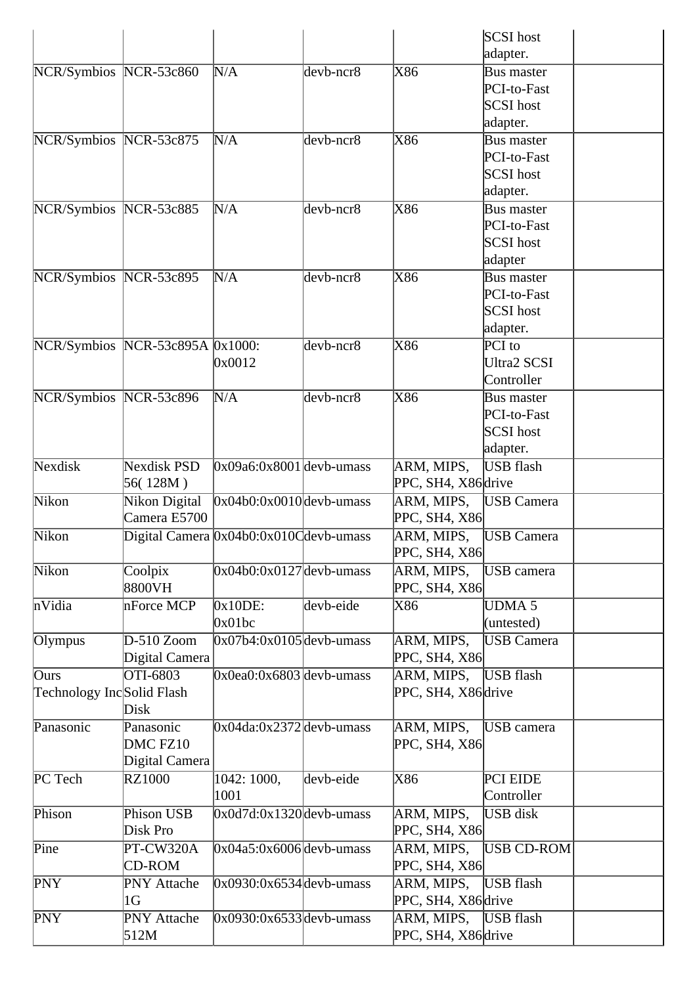| adapter.<br>NCR/Symbios NCR-53c860<br>X86<br>N/A<br>$devb-ncr8$<br><b>Bus master</b><br>PCI-to-Fast<br><b>SCSI</b> host<br>adapter.<br>NCR/Symbios NCR-53c875<br>X86<br>N/A<br>devb-ncr8<br><b>Bus master</b><br>PCI-to-Fast<br><b>SCSI</b> host<br>adapter.<br>NCR/Symbios NCR-53c885<br>X86<br>N/A<br>$devb-ncr8$<br><b>Bus master</b><br>PCI-to-Fast<br><b>SCSI</b> host<br>adapter<br>X86<br>NCR/Symbios NCR-53c895<br>N/A<br>devb-ncr8<br><b>Bus master</b><br>PCI-to-Fast<br><b>SCSI</b> host<br>adapter.<br>NCR/Symbios NCR-53c895A 0x1000:<br>$devb-ncr8$<br>X86<br>PCI to<br><b>Ultra2 SCSI</b><br>0x0012<br>Controller<br>NCR/Symbios NCR-53c896<br>X86<br>N/A<br>$devb-ncr8$<br><b>Bus master</b><br>PCI-to-Fast<br><b>SCSI</b> host<br>adapter.<br>Nexdisk PSD<br>$0x09a6:0x8001$ devb-umass<br>ARM, MIPS,<br><b>USB</b> flash<br>56(128M)<br>PPC, SH4, X86 drive<br>$0x04b0:0x0010$ devb-umass<br>Nikon Digital<br><b>USB</b> Camera<br>ARM, MIPS,<br>Camera E5700<br>PPC, SH4, X86<br>Nikon<br>Digital Camera 0x04b0:0x010Cdevb-umass<br>ARM, MIPS,<br><b>USB</b> Camera<br>PPC, SH4, X86<br>Nikon<br>Coolpix<br>$0x04b0:0x0127$ devb-umass<br>ARM, MIPS,<br>USB camera<br>8800VH<br>PPC, SH4, X86<br>nVidia<br>devb-eide<br>$0x10DE$ :<br>UDMA <sub>5</sub><br>nForce MCP<br>X86<br>0x01bc<br>(untested)<br>$D-510$ Zoom<br>$0x07b4:0x0105$ devb-umass<br>ARM, MIPS,<br><b>USB Camera</b><br>Olympus<br>PPC, SH4, X86<br>Digital Camera<br>OTI-6803<br>$0x0ea0:0x6803$ devb-umass<br>USB flash<br>ARM, MIPS,<br>Ours<br>Technology IncSolid Flash<br>PPC, SH4, X86 drive<br>Disk<br>Panasonic<br>$0x04da:0x2372$ devb-umass<br>ARM, MIPS,<br>Panasonic<br>USB camera<br>DMC FZ10<br>PPC, SH4, X86<br>Digital Camera<br>PC Tech<br>1042: 1000,<br>X86<br><b>RZ1000</b><br>devb-eide<br>PCI EIDE<br>1001<br>Controller<br>Phison USB<br>ARM, MIPS,<br><b>USB</b> disk<br>Phison<br>$0x0d7d:0x1320$ devb-umass<br>Disk Pro<br>PPC, SH4, X86<br>$0x04a5:0x6006$ devb-umass<br>PT-CW320A<br>ARM, MIPS,<br>USB CD-ROM<br>PPC, SH4, X86<br><b>CD-ROM</b><br>$0x0930:0x6534$ devb-umass<br>ARM, MIPS,<br><b>USB</b> flash<br><b>PNY</b> Attache<br>PPC, SH4, X86 drive<br>1G<br>$0x0930:0x6533$ devb-umass<br>ARM, MIPS,<br>USB flash<br><b>PNY</b> Attache<br>PPC, SH4, X86 drive<br>512M |            |  |  | <b>SCSI</b> host |  |
|---------------------------------------------------------------------------------------------------------------------------------------------------------------------------------------------------------------------------------------------------------------------------------------------------------------------------------------------------------------------------------------------------------------------------------------------------------------------------------------------------------------------------------------------------------------------------------------------------------------------------------------------------------------------------------------------------------------------------------------------------------------------------------------------------------------------------------------------------------------------------------------------------------------------------------------------------------------------------------------------------------------------------------------------------------------------------------------------------------------------------------------------------------------------------------------------------------------------------------------------------------------------------------------------------------------------------------------------------------------------------------------------------------------------------------------------------------------------------------------------------------------------------------------------------------------------------------------------------------------------------------------------------------------------------------------------------------------------------------------------------------------------------------------------------------------------------------------------------------------------------------------------------------------------------------------------------------------------------------------------------------------------------------------------------------------------------------------------------------------------------------------------------------------------------------------------------------------------------------------------------------------------------------------------------|------------|--|--|------------------|--|
|                                                                                                                                                                                                                                                                                                                                                                                                                                                                                                                                                                                                                                                                                                                                                                                                                                                                                                                                                                                                                                                                                                                                                                                                                                                                                                                                                                                                                                                                                                                                                                                                                                                                                                                                                                                                                                                                                                                                                                                                                                                                                                                                                                                                                                                                                                   |            |  |  |                  |  |
|                                                                                                                                                                                                                                                                                                                                                                                                                                                                                                                                                                                                                                                                                                                                                                                                                                                                                                                                                                                                                                                                                                                                                                                                                                                                                                                                                                                                                                                                                                                                                                                                                                                                                                                                                                                                                                                                                                                                                                                                                                                                                                                                                                                                                                                                                                   |            |  |  |                  |  |
|                                                                                                                                                                                                                                                                                                                                                                                                                                                                                                                                                                                                                                                                                                                                                                                                                                                                                                                                                                                                                                                                                                                                                                                                                                                                                                                                                                                                                                                                                                                                                                                                                                                                                                                                                                                                                                                                                                                                                                                                                                                                                                                                                                                                                                                                                                   |            |  |  |                  |  |
|                                                                                                                                                                                                                                                                                                                                                                                                                                                                                                                                                                                                                                                                                                                                                                                                                                                                                                                                                                                                                                                                                                                                                                                                                                                                                                                                                                                                                                                                                                                                                                                                                                                                                                                                                                                                                                                                                                                                                                                                                                                                                                                                                                                                                                                                                                   |            |  |  |                  |  |
|                                                                                                                                                                                                                                                                                                                                                                                                                                                                                                                                                                                                                                                                                                                                                                                                                                                                                                                                                                                                                                                                                                                                                                                                                                                                                                                                                                                                                                                                                                                                                                                                                                                                                                                                                                                                                                                                                                                                                                                                                                                                                                                                                                                                                                                                                                   |            |  |  |                  |  |
|                                                                                                                                                                                                                                                                                                                                                                                                                                                                                                                                                                                                                                                                                                                                                                                                                                                                                                                                                                                                                                                                                                                                                                                                                                                                                                                                                                                                                                                                                                                                                                                                                                                                                                                                                                                                                                                                                                                                                                                                                                                                                                                                                                                                                                                                                                   |            |  |  |                  |  |
|                                                                                                                                                                                                                                                                                                                                                                                                                                                                                                                                                                                                                                                                                                                                                                                                                                                                                                                                                                                                                                                                                                                                                                                                                                                                                                                                                                                                                                                                                                                                                                                                                                                                                                                                                                                                                                                                                                                                                                                                                                                                                                                                                                                                                                                                                                   |            |  |  |                  |  |
|                                                                                                                                                                                                                                                                                                                                                                                                                                                                                                                                                                                                                                                                                                                                                                                                                                                                                                                                                                                                                                                                                                                                                                                                                                                                                                                                                                                                                                                                                                                                                                                                                                                                                                                                                                                                                                                                                                                                                                                                                                                                                                                                                                                                                                                                                                   |            |  |  |                  |  |
|                                                                                                                                                                                                                                                                                                                                                                                                                                                                                                                                                                                                                                                                                                                                                                                                                                                                                                                                                                                                                                                                                                                                                                                                                                                                                                                                                                                                                                                                                                                                                                                                                                                                                                                                                                                                                                                                                                                                                                                                                                                                                                                                                                                                                                                                                                   |            |  |  |                  |  |
|                                                                                                                                                                                                                                                                                                                                                                                                                                                                                                                                                                                                                                                                                                                                                                                                                                                                                                                                                                                                                                                                                                                                                                                                                                                                                                                                                                                                                                                                                                                                                                                                                                                                                                                                                                                                                                                                                                                                                                                                                                                                                                                                                                                                                                                                                                   |            |  |  |                  |  |
|                                                                                                                                                                                                                                                                                                                                                                                                                                                                                                                                                                                                                                                                                                                                                                                                                                                                                                                                                                                                                                                                                                                                                                                                                                                                                                                                                                                                                                                                                                                                                                                                                                                                                                                                                                                                                                                                                                                                                                                                                                                                                                                                                                                                                                                                                                   |            |  |  |                  |  |
|                                                                                                                                                                                                                                                                                                                                                                                                                                                                                                                                                                                                                                                                                                                                                                                                                                                                                                                                                                                                                                                                                                                                                                                                                                                                                                                                                                                                                                                                                                                                                                                                                                                                                                                                                                                                                                                                                                                                                                                                                                                                                                                                                                                                                                                                                                   |            |  |  |                  |  |
|                                                                                                                                                                                                                                                                                                                                                                                                                                                                                                                                                                                                                                                                                                                                                                                                                                                                                                                                                                                                                                                                                                                                                                                                                                                                                                                                                                                                                                                                                                                                                                                                                                                                                                                                                                                                                                                                                                                                                                                                                                                                                                                                                                                                                                                                                                   |            |  |  |                  |  |
|                                                                                                                                                                                                                                                                                                                                                                                                                                                                                                                                                                                                                                                                                                                                                                                                                                                                                                                                                                                                                                                                                                                                                                                                                                                                                                                                                                                                                                                                                                                                                                                                                                                                                                                                                                                                                                                                                                                                                                                                                                                                                                                                                                                                                                                                                                   |            |  |  |                  |  |
|                                                                                                                                                                                                                                                                                                                                                                                                                                                                                                                                                                                                                                                                                                                                                                                                                                                                                                                                                                                                                                                                                                                                                                                                                                                                                                                                                                                                                                                                                                                                                                                                                                                                                                                                                                                                                                                                                                                                                                                                                                                                                                                                                                                                                                                                                                   |            |  |  |                  |  |
|                                                                                                                                                                                                                                                                                                                                                                                                                                                                                                                                                                                                                                                                                                                                                                                                                                                                                                                                                                                                                                                                                                                                                                                                                                                                                                                                                                                                                                                                                                                                                                                                                                                                                                                                                                                                                                                                                                                                                                                                                                                                                                                                                                                                                                                                                                   |            |  |  |                  |  |
|                                                                                                                                                                                                                                                                                                                                                                                                                                                                                                                                                                                                                                                                                                                                                                                                                                                                                                                                                                                                                                                                                                                                                                                                                                                                                                                                                                                                                                                                                                                                                                                                                                                                                                                                                                                                                                                                                                                                                                                                                                                                                                                                                                                                                                                                                                   |            |  |  |                  |  |
|                                                                                                                                                                                                                                                                                                                                                                                                                                                                                                                                                                                                                                                                                                                                                                                                                                                                                                                                                                                                                                                                                                                                                                                                                                                                                                                                                                                                                                                                                                                                                                                                                                                                                                                                                                                                                                                                                                                                                                                                                                                                                                                                                                                                                                                                                                   |            |  |  |                  |  |
|                                                                                                                                                                                                                                                                                                                                                                                                                                                                                                                                                                                                                                                                                                                                                                                                                                                                                                                                                                                                                                                                                                                                                                                                                                                                                                                                                                                                                                                                                                                                                                                                                                                                                                                                                                                                                                                                                                                                                                                                                                                                                                                                                                                                                                                                                                   |            |  |  |                  |  |
|                                                                                                                                                                                                                                                                                                                                                                                                                                                                                                                                                                                                                                                                                                                                                                                                                                                                                                                                                                                                                                                                                                                                                                                                                                                                                                                                                                                                                                                                                                                                                                                                                                                                                                                                                                                                                                                                                                                                                                                                                                                                                                                                                                                                                                                                                                   |            |  |  |                  |  |
|                                                                                                                                                                                                                                                                                                                                                                                                                                                                                                                                                                                                                                                                                                                                                                                                                                                                                                                                                                                                                                                                                                                                                                                                                                                                                                                                                                                                                                                                                                                                                                                                                                                                                                                                                                                                                                                                                                                                                                                                                                                                                                                                                                                                                                                                                                   |            |  |  |                  |  |
|                                                                                                                                                                                                                                                                                                                                                                                                                                                                                                                                                                                                                                                                                                                                                                                                                                                                                                                                                                                                                                                                                                                                                                                                                                                                                                                                                                                                                                                                                                                                                                                                                                                                                                                                                                                                                                                                                                                                                                                                                                                                                                                                                                                                                                                                                                   |            |  |  |                  |  |
|                                                                                                                                                                                                                                                                                                                                                                                                                                                                                                                                                                                                                                                                                                                                                                                                                                                                                                                                                                                                                                                                                                                                                                                                                                                                                                                                                                                                                                                                                                                                                                                                                                                                                                                                                                                                                                                                                                                                                                                                                                                                                                                                                                                                                                                                                                   |            |  |  |                  |  |
|                                                                                                                                                                                                                                                                                                                                                                                                                                                                                                                                                                                                                                                                                                                                                                                                                                                                                                                                                                                                                                                                                                                                                                                                                                                                                                                                                                                                                                                                                                                                                                                                                                                                                                                                                                                                                                                                                                                                                                                                                                                                                                                                                                                                                                                                                                   |            |  |  |                  |  |
|                                                                                                                                                                                                                                                                                                                                                                                                                                                                                                                                                                                                                                                                                                                                                                                                                                                                                                                                                                                                                                                                                                                                                                                                                                                                                                                                                                                                                                                                                                                                                                                                                                                                                                                                                                                                                                                                                                                                                                                                                                                                                                                                                                                                                                                                                                   |            |  |  |                  |  |
|                                                                                                                                                                                                                                                                                                                                                                                                                                                                                                                                                                                                                                                                                                                                                                                                                                                                                                                                                                                                                                                                                                                                                                                                                                                                                                                                                                                                                                                                                                                                                                                                                                                                                                                                                                                                                                                                                                                                                                                                                                                                                                                                                                                                                                                                                                   | Nexdisk    |  |  |                  |  |
|                                                                                                                                                                                                                                                                                                                                                                                                                                                                                                                                                                                                                                                                                                                                                                                                                                                                                                                                                                                                                                                                                                                                                                                                                                                                                                                                                                                                                                                                                                                                                                                                                                                                                                                                                                                                                                                                                                                                                                                                                                                                                                                                                                                                                                                                                                   |            |  |  |                  |  |
|                                                                                                                                                                                                                                                                                                                                                                                                                                                                                                                                                                                                                                                                                                                                                                                                                                                                                                                                                                                                                                                                                                                                                                                                                                                                                                                                                                                                                                                                                                                                                                                                                                                                                                                                                                                                                                                                                                                                                                                                                                                                                                                                                                                                                                                                                                   | Nikon      |  |  |                  |  |
|                                                                                                                                                                                                                                                                                                                                                                                                                                                                                                                                                                                                                                                                                                                                                                                                                                                                                                                                                                                                                                                                                                                                                                                                                                                                                                                                                                                                                                                                                                                                                                                                                                                                                                                                                                                                                                                                                                                                                                                                                                                                                                                                                                                                                                                                                                   |            |  |  |                  |  |
|                                                                                                                                                                                                                                                                                                                                                                                                                                                                                                                                                                                                                                                                                                                                                                                                                                                                                                                                                                                                                                                                                                                                                                                                                                                                                                                                                                                                                                                                                                                                                                                                                                                                                                                                                                                                                                                                                                                                                                                                                                                                                                                                                                                                                                                                                                   |            |  |  |                  |  |
|                                                                                                                                                                                                                                                                                                                                                                                                                                                                                                                                                                                                                                                                                                                                                                                                                                                                                                                                                                                                                                                                                                                                                                                                                                                                                                                                                                                                                                                                                                                                                                                                                                                                                                                                                                                                                                                                                                                                                                                                                                                                                                                                                                                                                                                                                                   |            |  |  |                  |  |
|                                                                                                                                                                                                                                                                                                                                                                                                                                                                                                                                                                                                                                                                                                                                                                                                                                                                                                                                                                                                                                                                                                                                                                                                                                                                                                                                                                                                                                                                                                                                                                                                                                                                                                                                                                                                                                                                                                                                                                                                                                                                                                                                                                                                                                                                                                   |            |  |  |                  |  |
|                                                                                                                                                                                                                                                                                                                                                                                                                                                                                                                                                                                                                                                                                                                                                                                                                                                                                                                                                                                                                                                                                                                                                                                                                                                                                                                                                                                                                                                                                                                                                                                                                                                                                                                                                                                                                                                                                                                                                                                                                                                                                                                                                                                                                                                                                                   |            |  |  |                  |  |
|                                                                                                                                                                                                                                                                                                                                                                                                                                                                                                                                                                                                                                                                                                                                                                                                                                                                                                                                                                                                                                                                                                                                                                                                                                                                                                                                                                                                                                                                                                                                                                                                                                                                                                                                                                                                                                                                                                                                                                                                                                                                                                                                                                                                                                                                                                   |            |  |  |                  |  |
|                                                                                                                                                                                                                                                                                                                                                                                                                                                                                                                                                                                                                                                                                                                                                                                                                                                                                                                                                                                                                                                                                                                                                                                                                                                                                                                                                                                                                                                                                                                                                                                                                                                                                                                                                                                                                                                                                                                                                                                                                                                                                                                                                                                                                                                                                                   |            |  |  |                  |  |
|                                                                                                                                                                                                                                                                                                                                                                                                                                                                                                                                                                                                                                                                                                                                                                                                                                                                                                                                                                                                                                                                                                                                                                                                                                                                                                                                                                                                                                                                                                                                                                                                                                                                                                                                                                                                                                                                                                                                                                                                                                                                                                                                                                                                                                                                                                   |            |  |  |                  |  |
|                                                                                                                                                                                                                                                                                                                                                                                                                                                                                                                                                                                                                                                                                                                                                                                                                                                                                                                                                                                                                                                                                                                                                                                                                                                                                                                                                                                                                                                                                                                                                                                                                                                                                                                                                                                                                                                                                                                                                                                                                                                                                                                                                                                                                                                                                                   |            |  |  |                  |  |
|                                                                                                                                                                                                                                                                                                                                                                                                                                                                                                                                                                                                                                                                                                                                                                                                                                                                                                                                                                                                                                                                                                                                                                                                                                                                                                                                                                                                                                                                                                                                                                                                                                                                                                                                                                                                                                                                                                                                                                                                                                                                                                                                                                                                                                                                                                   |            |  |  |                  |  |
|                                                                                                                                                                                                                                                                                                                                                                                                                                                                                                                                                                                                                                                                                                                                                                                                                                                                                                                                                                                                                                                                                                                                                                                                                                                                                                                                                                                                                                                                                                                                                                                                                                                                                                                                                                                                                                                                                                                                                                                                                                                                                                                                                                                                                                                                                                   |            |  |  |                  |  |
|                                                                                                                                                                                                                                                                                                                                                                                                                                                                                                                                                                                                                                                                                                                                                                                                                                                                                                                                                                                                                                                                                                                                                                                                                                                                                                                                                                                                                                                                                                                                                                                                                                                                                                                                                                                                                                                                                                                                                                                                                                                                                                                                                                                                                                                                                                   |            |  |  |                  |  |
|                                                                                                                                                                                                                                                                                                                                                                                                                                                                                                                                                                                                                                                                                                                                                                                                                                                                                                                                                                                                                                                                                                                                                                                                                                                                                                                                                                                                                                                                                                                                                                                                                                                                                                                                                                                                                                                                                                                                                                                                                                                                                                                                                                                                                                                                                                   |            |  |  |                  |  |
|                                                                                                                                                                                                                                                                                                                                                                                                                                                                                                                                                                                                                                                                                                                                                                                                                                                                                                                                                                                                                                                                                                                                                                                                                                                                                                                                                                                                                                                                                                                                                                                                                                                                                                                                                                                                                                                                                                                                                                                                                                                                                                                                                                                                                                                                                                   |            |  |  |                  |  |
|                                                                                                                                                                                                                                                                                                                                                                                                                                                                                                                                                                                                                                                                                                                                                                                                                                                                                                                                                                                                                                                                                                                                                                                                                                                                                                                                                                                                                                                                                                                                                                                                                                                                                                                                                                                                                                                                                                                                                                                                                                                                                                                                                                                                                                                                                                   |            |  |  |                  |  |
|                                                                                                                                                                                                                                                                                                                                                                                                                                                                                                                                                                                                                                                                                                                                                                                                                                                                                                                                                                                                                                                                                                                                                                                                                                                                                                                                                                                                                                                                                                                                                                                                                                                                                                                                                                                                                                                                                                                                                                                                                                                                                                                                                                                                                                                                                                   |            |  |  |                  |  |
|                                                                                                                                                                                                                                                                                                                                                                                                                                                                                                                                                                                                                                                                                                                                                                                                                                                                                                                                                                                                                                                                                                                                                                                                                                                                                                                                                                                                                                                                                                                                                                                                                                                                                                                                                                                                                                                                                                                                                                                                                                                                                                                                                                                                                                                                                                   |            |  |  |                  |  |
|                                                                                                                                                                                                                                                                                                                                                                                                                                                                                                                                                                                                                                                                                                                                                                                                                                                                                                                                                                                                                                                                                                                                                                                                                                                                                                                                                                                                                                                                                                                                                                                                                                                                                                                                                                                                                                                                                                                                                                                                                                                                                                                                                                                                                                                                                                   |            |  |  |                  |  |
|                                                                                                                                                                                                                                                                                                                                                                                                                                                                                                                                                                                                                                                                                                                                                                                                                                                                                                                                                                                                                                                                                                                                                                                                                                                                                                                                                                                                                                                                                                                                                                                                                                                                                                                                                                                                                                                                                                                                                                                                                                                                                                                                                                                                                                                                                                   |            |  |  |                  |  |
|                                                                                                                                                                                                                                                                                                                                                                                                                                                                                                                                                                                                                                                                                                                                                                                                                                                                                                                                                                                                                                                                                                                                                                                                                                                                                                                                                                                                                                                                                                                                                                                                                                                                                                                                                                                                                                                                                                                                                                                                                                                                                                                                                                                                                                                                                                   |            |  |  |                  |  |
|                                                                                                                                                                                                                                                                                                                                                                                                                                                                                                                                                                                                                                                                                                                                                                                                                                                                                                                                                                                                                                                                                                                                                                                                                                                                                                                                                                                                                                                                                                                                                                                                                                                                                                                                                                                                                                                                                                                                                                                                                                                                                                                                                                                                                                                                                                   | Pine       |  |  |                  |  |
|                                                                                                                                                                                                                                                                                                                                                                                                                                                                                                                                                                                                                                                                                                                                                                                                                                                                                                                                                                                                                                                                                                                                                                                                                                                                                                                                                                                                                                                                                                                                                                                                                                                                                                                                                                                                                                                                                                                                                                                                                                                                                                                                                                                                                                                                                                   |            |  |  |                  |  |
|                                                                                                                                                                                                                                                                                                                                                                                                                                                                                                                                                                                                                                                                                                                                                                                                                                                                                                                                                                                                                                                                                                                                                                                                                                                                                                                                                                                                                                                                                                                                                                                                                                                                                                                                                                                                                                                                                                                                                                                                                                                                                                                                                                                                                                                                                                   | <b>PNY</b> |  |  |                  |  |
|                                                                                                                                                                                                                                                                                                                                                                                                                                                                                                                                                                                                                                                                                                                                                                                                                                                                                                                                                                                                                                                                                                                                                                                                                                                                                                                                                                                                                                                                                                                                                                                                                                                                                                                                                                                                                                                                                                                                                                                                                                                                                                                                                                                                                                                                                                   |            |  |  |                  |  |
|                                                                                                                                                                                                                                                                                                                                                                                                                                                                                                                                                                                                                                                                                                                                                                                                                                                                                                                                                                                                                                                                                                                                                                                                                                                                                                                                                                                                                                                                                                                                                                                                                                                                                                                                                                                                                                                                                                                                                                                                                                                                                                                                                                                                                                                                                                   | <b>PNY</b> |  |  |                  |  |
|                                                                                                                                                                                                                                                                                                                                                                                                                                                                                                                                                                                                                                                                                                                                                                                                                                                                                                                                                                                                                                                                                                                                                                                                                                                                                                                                                                                                                                                                                                                                                                                                                                                                                                                                                                                                                                                                                                                                                                                                                                                                                                                                                                                                                                                                                                   |            |  |  |                  |  |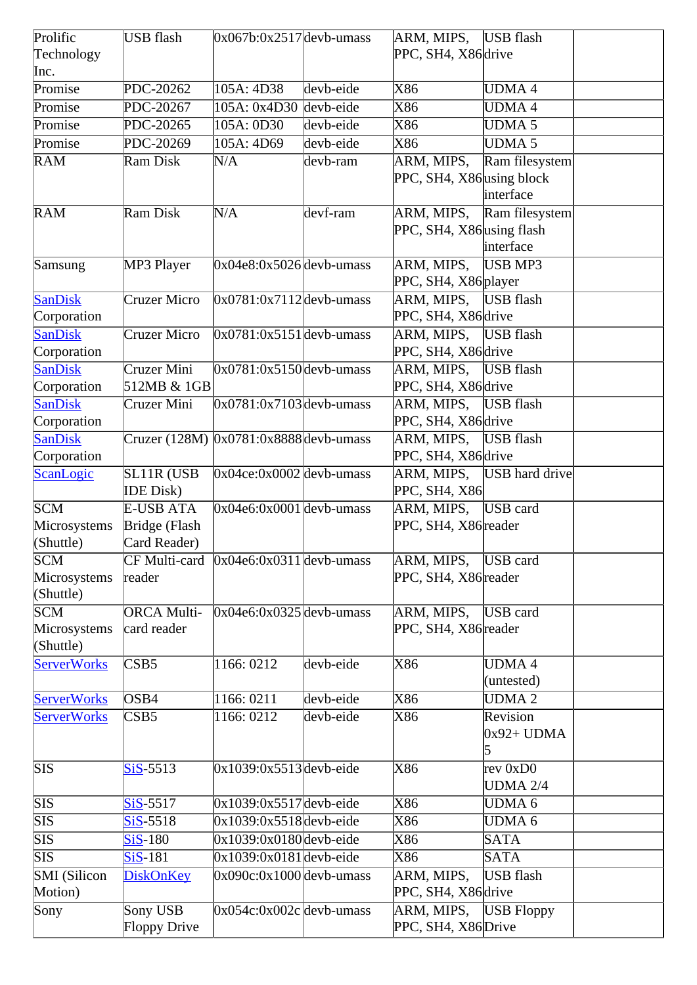| Prolific                | USB flash                     | $0x067b:0x2517$ devb-umass                 |           | ARM, MIPS, USB flash      |                           |  |
|-------------------------|-------------------------------|--------------------------------------------|-----------|---------------------------|---------------------------|--|
| Technology              |                               |                                            |           | PPC, SH4, X86 drive       |                           |  |
| Inc.                    |                               |                                            |           |                           |                           |  |
| Promise                 | PDC-20262                     | 105A: 4D38                                 | devb-eide | X86                       | UDMA4                     |  |
| Promise                 | PDC-20267                     | $105A: 0x4D30$ devb-eide                   |           | X86                       | <b>UDMA4</b>              |  |
| Promise                 | PDC-20265                     | 105A: 0D30                                 | devb-eide | X86                       | UDMA <sub>5</sub>         |  |
| Promise                 | PDC-20269                     | 105A: 4D69                                 | devb-eide | X86                       | <b>UDMA 5</b>             |  |
| <b>RAM</b>              | Ram Disk                      | N/A                                        | devb-ram  | ARM, MIPS,                | Ram filesystem            |  |
|                         |                               |                                            |           | PPC, SH4, X86 using block |                           |  |
|                         |                               |                                            |           |                           | interface                 |  |
| RAM                     | Ram Disk                      | N/A                                        | devf-ram  | ARM, MIPS,                | Ram filesystem            |  |
|                         |                               |                                            |           | PPC, SH4, X86 using flash |                           |  |
|                         |                               |                                            |           |                           | interface                 |  |
| Samsung                 | MP3 Player                    | $0x04e8:0x5026$ devb-umass                 |           | ARM, MIPS,                | USB MP3                   |  |
|                         |                               |                                            |           | PPC, SH4, X86 player      |                           |  |
| <b>SanDisk</b>          | Cruzer Micro                  | $0x0781:0x7112$ devb-umass                 |           | ARM, MIPS, USB flash      |                           |  |
| Corporation             |                               |                                            |           | PPC, SH4, X86 drive       |                           |  |
| <b>SanDisk</b>          | <b>Cruzer Micro</b>           | $0x0781:0x5151$ devb-umass                 |           | ARM, MIPS, USB flash      |                           |  |
| Corporation             |                               |                                            |           | PPC, SH4, X86 drive       |                           |  |
| <b>SanDisk</b>          | Cruzer Mini                   | $0x0781:0x5150$ devb-umass                 |           | ARM, MIPS,                | USB flash                 |  |
| Corporation             | 512MB & 1GB                   |                                            |           | PPC, SH4, X86 drive       |                           |  |
| <b>SanDisk</b>          | Cruzer Mini                   | $0x0781:0x7103$ devb-umass                 |           | ARM, MIPS, USB flash      |                           |  |
| Corporation             |                               |                                            |           | PPC, SH4, X86 drive       |                           |  |
| SanDisk                 |                               | $Cruzer (128M)$ $0x0781:0x8888$ devb-umass |           | ARM, MIPS,                | USB flash                 |  |
| Corporation             |                               |                                            |           | PPC, SH4, X86 drive       |                           |  |
| ScanLogic               | <b>SL11R (USB</b>             | $0x04ce:0x0002$ devb-umass                 |           |                           | ARM, MIPS, USB hard drive |  |
|                         | <b>IDE</b> Disk)              |                                            |           | PPC, SH4, X86             |                           |  |
| SCM                     | <b>E-USB ATA</b>              | $0x04e6:0x0001$ devb-umass                 |           | ARM, MIPS,                | USB card                  |  |
| Microsystems            | Bridge (Flash                 |                                            |           | PPC, SH4, X86 reader      |                           |  |
| (Shuttle)               | Card Reader)                  |                                            |           |                           |                           |  |
| <b>SCM</b>              |                               | $CF$ Multi-card $0x04e6:0x0311$ devb-umass |           | ARM, MIPS, USB card       |                           |  |
| Microsystems            | reader                        |                                            |           | PPC, SH4, X86 reader      |                           |  |
| (Shuttle)               |                               |                                            |           |                           |                           |  |
| SCM                     | <b>ORCA Multi-</b>            | $0x04e6:0x0325$ devb-umass                 |           | ARM, MIPS,                | <b>USB</b> card           |  |
| Microsystems            | card reader                   |                                            |           | PPC, SH4, X86 reader      |                           |  |
| (Shuttle)               |                               |                                            |           |                           |                           |  |
| <b>ServerWorks</b>      | CSB5                          | 1166: 0212                                 | devb-eide | X86                       | <b>UDMA4</b>              |  |
|                         |                               |                                            |           |                           | (untested)                |  |
| <b>ServerWorks</b>      | OSB4                          | 1166: 0211                                 | devb-eide | X86                       | <b>UDMA2</b>              |  |
| <b>ServerWorks</b>      | $\overline{\text{CSB5}}$      | 1166: 0212                                 | devb-eide | X86                       | Revision                  |  |
|                         |                               |                                            |           |                           | $0x92+UDMA$               |  |
|                         |                               |                                            |           |                           | 5                         |  |
| <b>SIS</b>              | $SiS-5513$                    | $0x1039:0x5513$ devb-eide                  |           | X86                       | rev 0xD0                  |  |
|                         |                               |                                            |           |                           | <b>UDMA 2/4</b>           |  |
| $\overline{\text{SIS}}$ | $SiS-5517$                    | $0x1039:0x5517$ devb-eide                  |           | X86                       | <b>UDMA6</b>              |  |
| $\overline{\text{SIS}}$ | $\overline{\text{SiS}}$ -5518 | $0x1039:0x5518$ devb-eide                  |           | X86                       | <b>UDMA 6</b>             |  |
| $\overline{\text{SIS}}$ | $SiS-180$                     | $0x1039:0x0180$ devb-eide                  |           | X86                       | <b>SATA</b>               |  |
| SIS                     | $SiS-181$                     | $0x1039:0x0181$ devb-eide                  |           | X86                       | <b>SATA</b>               |  |
| <b>SMI</b> (Silicon     | <b>DiskOnKey</b>              | $0x090c:0x1000$ devb-umass                 |           | ARM, MIPS,                | USB flash                 |  |
| Motion)                 |                               |                                            |           | PPC, SH4, X86 drive       |                           |  |
| Sony                    | Sony USB                      | $0x054c:0x002c$ devb-umass                 |           | ARM, MIPS,                | <b>USB</b> Floppy         |  |
|                         | Floppy Drive                  |                                            |           | PPC, SH4, X86 Drive       |                           |  |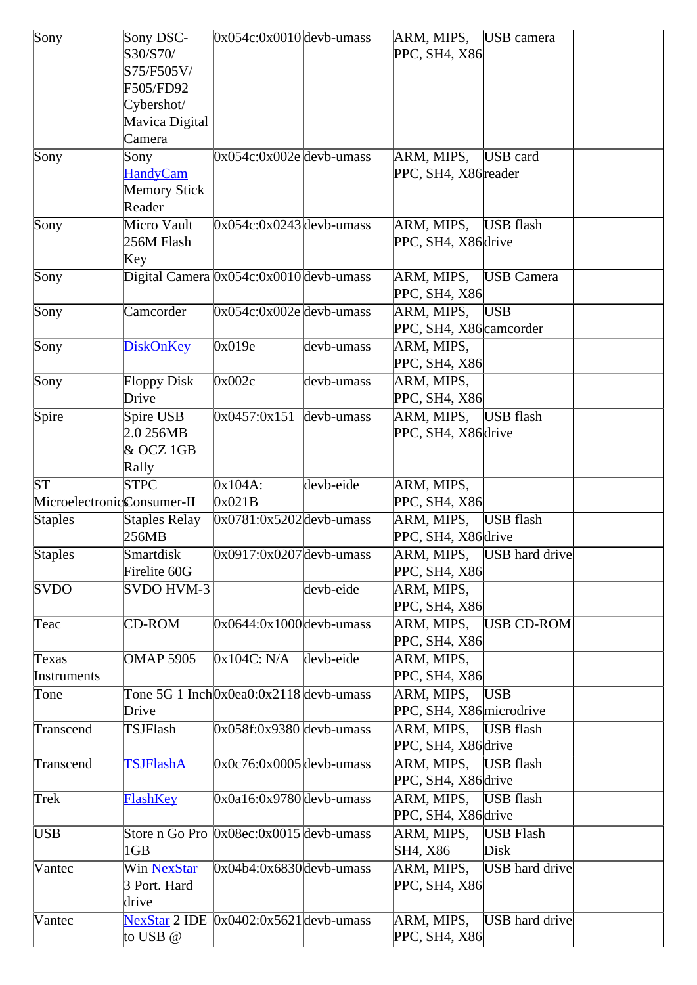| Sony                       | Sony DSC-                                 | $0x054c:0x0010$ devb-umass                           |            | ARM, MIPS,               | USB camera                |  |
|----------------------------|-------------------------------------------|------------------------------------------------------|------------|--------------------------|---------------------------|--|
|                            | S30/S70/                                  |                                                      |            | PPC, SH4, X86            |                           |  |
|                            | S75/F505V/                                |                                                      |            |                          |                           |  |
|                            | F505/FD92                                 |                                                      |            |                          |                           |  |
|                            | Cybershot/                                |                                                      |            |                          |                           |  |
|                            |                                           |                                                      |            |                          |                           |  |
|                            | Mavica Digital                            |                                                      |            |                          |                           |  |
|                            | Camera                                    |                                                      |            |                          |                           |  |
| Sony                       | Sony                                      | $0x054c:0x002e$ devb-umass                           |            | ARM, MIPS,               | USB card                  |  |
|                            | <b>HandyCam</b>                           |                                                      |            | PPC, SH4, X86 reader     |                           |  |
|                            | Memory Stick                              |                                                      |            |                          |                           |  |
|                            | Reader                                    |                                                      |            |                          |                           |  |
| Sony                       | Micro Vault                               | $0x054c:0x0243$ devb-umass                           |            | ARM, MIPS,               | <b>USB</b> flash          |  |
|                            | 256M Flash                                |                                                      |            | PPC, SH4, X86 drive      |                           |  |
|                            | Key                                       |                                                      |            |                          |                           |  |
| Sony                       | Digital Camera $0x054c:0x0010$ devb-umass |                                                      |            | ARM, MIPS,               | <b>USB</b> Camera         |  |
|                            |                                           |                                                      |            | PPC, SH4, X86            |                           |  |
| Sony                       | Camcorder                                 | $0x054c:0x002e$ devb-umass                           |            | ARM, MIPS,               | <b>USB</b>                |  |
|                            |                                           |                                                      |            | PPC, SH4, X86 camcorder  |                           |  |
|                            |                                           |                                                      |            |                          |                           |  |
| Sony                       | <b>DiskOnKey</b>                          | 0x019e                                               | devb-umass | ARM, MIPS,               |                           |  |
|                            |                                           |                                                      |            | PPC, SH4, X86            |                           |  |
| Sony                       | <b>Floppy Disk</b>                        | $\overline{0}$ x002c                                 | devb-umass | ARM, MIPS,               |                           |  |
|                            | Drive                                     |                                                      |            | PPC, SH4, X86            |                           |  |
| Spire                      | Spire USB                                 | 0x0457:0x151                                         | devb-umass | ARM, MIPS,               | USB flash                 |  |
|                            | 2.0256MB                                  |                                                      |            | PPC, SH4, X86 drive      |                           |  |
|                            | & OCZ 1GB                                 |                                                      |            |                          |                           |  |
|                            | Rally                                     |                                                      |            |                          |                           |  |
| $\overline{\text{ST}}$     | <b>STPC</b>                               | $0x104A$ :                                           | devb-eide  | ARM, MIPS,               |                           |  |
| MicroelectronicConsumer-II |                                           | 0x021B                                               |            | PPC, SH4, X86            |                           |  |
|                            | Staples Relay                             | $0x0781:0x5202$ devb-umass                           |            | ARM, MIPS,               | USB flash                 |  |
| <b>Staples</b>             | 256MB                                     |                                                      |            |                          |                           |  |
|                            |                                           |                                                      |            | PPC, SH4, X86 drive      |                           |  |
| <b>Staples</b>             | Smartdisk                                 | $0x0917:0x0207$ devb-umass                           |            |                          | ARM, MIPS, USB hard drive |  |
|                            | Firelite 60G                              |                                                      |            | PPC, SH4, X86            |                           |  |
| <b>SVDO</b>                | SVDO HVM-3                                |                                                      | devb-eide  | ARM, MIPS,               |                           |  |
|                            |                                           |                                                      |            | PPC, SH4, X86            |                           |  |
| Teac                       | <b>CD-ROM</b>                             | $0x0644:0x1000$ devb-umass                           |            | ARM, MIPS,               | USB CD-ROM                |  |
|                            |                                           |                                                      |            | PPC, SH4, X86            |                           |  |
| Texas                      | <b>OMAP 5905</b>                          | 0x104C: N/A                                          | devb-eide  | ARM, MIPS,               |                           |  |
| Instruments                |                                           |                                                      |            | PPC, SH4, X86            |                           |  |
| Tone                       |                                           | Tone 5G 1 Inch $0x0ea0:0x2118$ devb-umass            |            | ARM, MIPS,               | <b>USB</b>                |  |
|                            | Drive                                     |                                                      |            | PPC, SH4, X86 microdrive |                           |  |
| Transcend                  | TSJFlash                                  | $0x058f:0x9380$ devb-umass                           |            | ARM, MIPS,               | USB flash                 |  |
|                            |                                           |                                                      |            |                          |                           |  |
|                            |                                           |                                                      |            | PPC, SH4, X86 drive      |                           |  |
| Transcend                  | <b>TSJFlashA</b>                          | $0x0c76:0x0005$ devb-umass                           |            | ARM, MIPS,               | USB flash                 |  |
|                            |                                           |                                                      |            | PPC, SH4, X86 drive      |                           |  |
| Trek                       | FlashKey                                  | $0x0a16:0x9780$ devb-umass                           |            | ARM, MIPS,               | USB flash                 |  |
|                            |                                           |                                                      |            | PPC, SH4, X86 drive      |                           |  |
| <b>USB</b>                 |                                           | Store n Go Pro $\sqrt{0x08}$ ec: $0x0015$ devb-umass |            | ARM, MIPS,               | <b>USB</b> Flash          |  |
|                            | 1GB                                       |                                                      |            | SH4, X86                 | Disk                      |  |
| Vantec                     | <b>Win NexStar</b>                        | $0x04b4:0x6830$ devb-umass                           |            | ARM, MIPS,               | <b>USB</b> hard drive     |  |
|                            | 3 Port. Hard                              |                                                      |            | PPC, SH4, X86            |                           |  |
|                            | drive                                     |                                                      |            |                          |                           |  |
|                            |                                           |                                                      |            |                          |                           |  |
| Vantec                     |                                           | $NexStar$ 2 IDE $[0x0402:0x5621]$ devb-umass         |            | ARM, MIPS,               | USB hard drive            |  |
|                            | to USB @                                  |                                                      |            | PPC, SH4, X86            |                           |  |